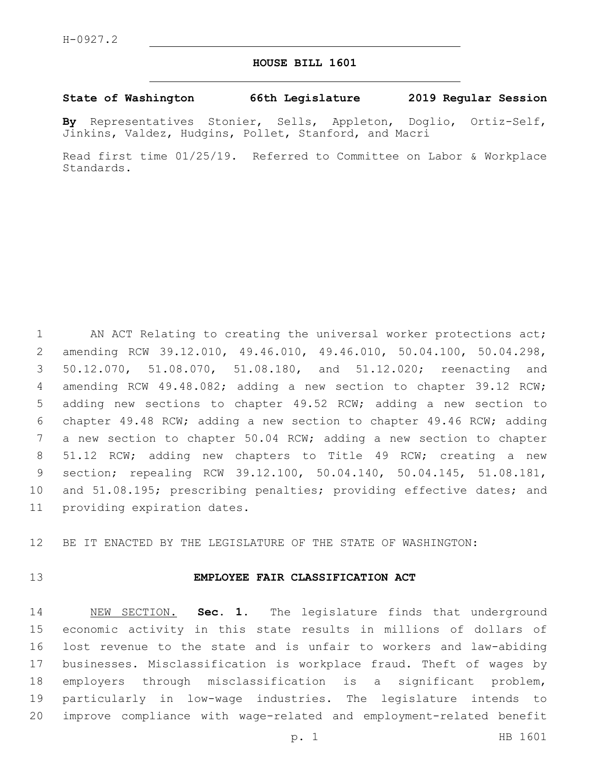## **HOUSE BILL 1601**

#### **State of Washington 66th Legislature 2019 Regular Session**

**By** Representatives Stonier, Sells, Appleton, Doglio, Ortiz-Self, Jinkins, Valdez, Hudgins, Pollet, Stanford, and Macri

Read first time 01/25/19. Referred to Committee on Labor & Workplace Standards.

1 AN ACT Relating to creating the universal worker protections act; amending RCW 39.12.010, 49.46.010, 49.46.010, 50.04.100, 50.04.298, 50.12.070, 51.08.070, 51.08.180, and 51.12.020; reenacting and amending RCW 49.48.082; adding a new section to chapter 39.12 RCW; adding new sections to chapter 49.52 RCW; adding a new section to chapter 49.48 RCW; adding a new section to chapter 49.46 RCW; adding a new section to chapter 50.04 RCW; adding a new section to chapter 51.12 RCW; adding new chapters to Title 49 RCW; creating a new section; repealing RCW 39.12.100, 50.04.140, 50.04.145, 51.08.181, and 51.08.195; prescribing penalties; providing effective dates; and 11 providing expiration dates.

BE IT ENACTED BY THE LEGISLATURE OF THE STATE OF WASHINGTON:

### **EMPLOYEE FAIR CLASSIFICATION ACT**

 NEW SECTION. **Sec. 1.** The legislature finds that underground economic activity in this state results in millions of dollars of lost revenue to the state and is unfair to workers and law-abiding businesses. Misclassification is workplace fraud. Theft of wages by employers through misclassification is a significant problem, particularly in low-wage industries. The legislature intends to improve compliance with wage-related and employment-related benefit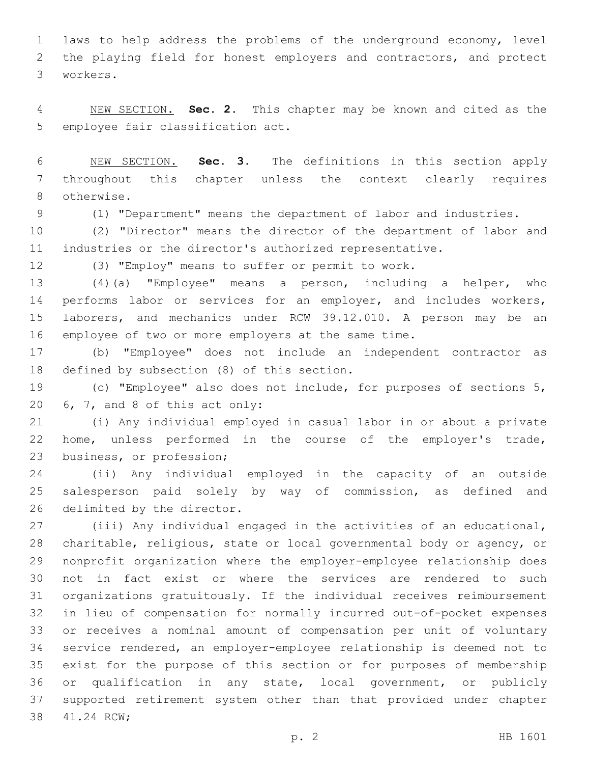laws to help address the problems of the underground economy, level the playing field for honest employers and contractors, and protect workers.3

 NEW SECTION. **Sec. 2.** This chapter may be known and cited as the employee fair classification act.

 NEW SECTION. **Sec. 3.** The definitions in this section apply throughout this chapter unless the context clearly requires otherwise.

(1) "Department" means the department of labor and industries.

 (2) "Director" means the director of the department of labor and industries or the director's authorized representative.

(3) "Employ" means to suffer or permit to work.

 (4)(a) "Employee" means a person, including a helper, who 14 performs labor or services for an employer, and includes workers, laborers, and mechanics under RCW 39.12.010. A person may be an employee of two or more employers at the same time.

 (b) "Employee" does not include an independent contractor as 18 defined by subsection (8) of this section.

 (c) "Employee" also does not include, for purposes of sections 5,  $6, 7,$  and 8 of this act only:

 (i) Any individual employed in casual labor in or about a private home, unless performed in the course of the employer's trade, 23 business, or profession;

 (ii) Any individual employed in the capacity of an outside salesperson paid solely by way of commission, as defined and 26 delimited by the director.

 (iii) Any individual engaged in the activities of an educational, charitable, religious, state or local governmental body or agency, or nonprofit organization where the employer-employee relationship does not in fact exist or where the services are rendered to such organizations gratuitously. If the individual receives reimbursement in lieu of compensation for normally incurred out-of-pocket expenses or receives a nominal amount of compensation per unit of voluntary service rendered, an employer-employee relationship is deemed not to exist for the purpose of this section or for purposes of membership or qualification in any state, local government, or publicly supported retirement system other than that provided under chapter 38 41.24 RCW;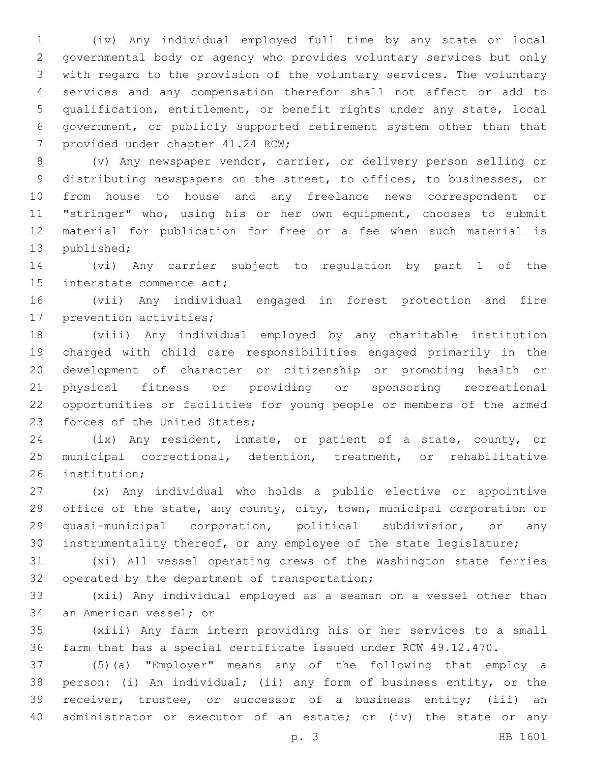(iv) Any individual employed full time by any state or local governmental body or agency who provides voluntary services but only with regard to the provision of the voluntary services. The voluntary services and any compensation therefor shall not affect or add to qualification, entitlement, or benefit rights under any state, local government, or publicly supported retirement system other than that provided under chapter 41.24 RCW;

 (v) Any newspaper vendor, carrier, or delivery person selling or distributing newspapers on the street, to offices, to businesses, or from house to house and any freelance news correspondent or "stringer" who, using his or her own equipment, chooses to submit material for publication for free or a fee when such material is 13 published;

 (vi) Any carrier subject to regulation by part 1 of the 15 interstate commerce act;

 (vii) Any individual engaged in forest protection and fire 17 prevention activities;

 (viii) Any individual employed by any charitable institution charged with child care responsibilities engaged primarily in the development of character or citizenship or promoting health or physical fitness or providing or sponsoring recreational opportunities or facilities for young people or members of the armed 23 forces of the United States;

 (ix) Any resident, inmate, or patient of a state, county, or municipal correctional, detention, treatment, or rehabilitative 26 institution:

 (x) Any individual who holds a public elective or appointive office of the state, any county, city, town, municipal corporation or quasi-municipal corporation, political subdivision, or any instrumentality thereof, or any employee of the state legislature;

 (xi) All vessel operating crews of the Washington state ferries 32 operated by the department of transportation;

 (xii) Any individual employed as a seaman on a vessel other than 34 an American vessel; or

 (xiii) Any farm intern providing his or her services to a small farm that has a special certificate issued under RCW 49.12.470.

 (5)(a) "Employer" means any of the following that employ a person: (i) An individual; (ii) any form of business entity, or the receiver, trustee, or successor of a business entity; (iii) an 40 administrator or executor of an estate; or (iv) the state or any

p. 3 HB 1601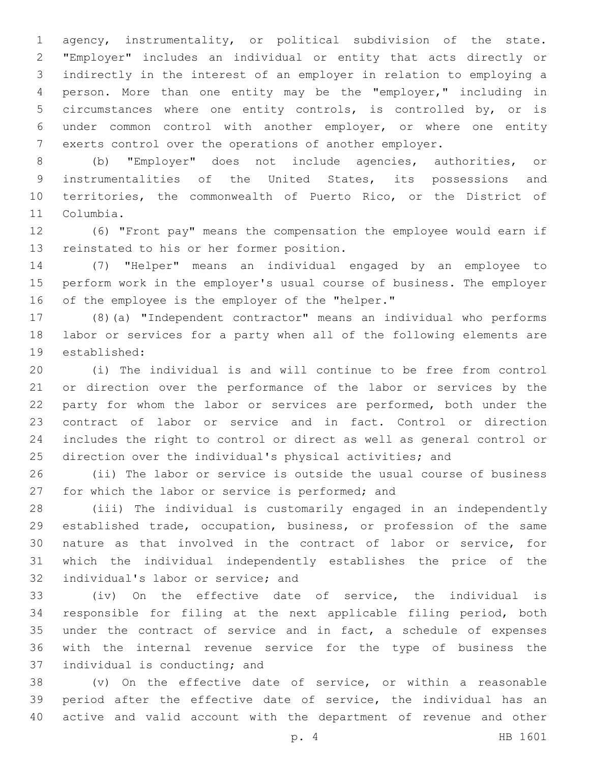agency, instrumentality, or political subdivision of the state. "Employer" includes an individual or entity that acts directly or indirectly in the interest of an employer in relation to employing a person. More than one entity may be the "employer," including in circumstances where one entity controls, is controlled by, or is under common control with another employer, or where one entity exerts control over the operations of another employer.

 (b) "Employer" does not include agencies, authorities, or instrumentalities of the United States, its possessions and territories, the commonwealth of Puerto Rico, or the District of 11 Columbia.

 (6) "Front pay" means the compensation the employee would earn if 13 reinstated to his or her former position.

 (7) "Helper" means an individual engaged by an employee to perform work in the employer's usual course of business. The employer 16 of the employee is the employer of the "helper."

 (8)(a) "Independent contractor" means an individual who performs labor or services for a party when all of the following elements are 19 established:

 (i) The individual is and will continue to be free from control or direction over the performance of the labor or services by the 22 party for whom the labor or services are performed, both under the contract of labor or service and in fact. Control or direction includes the right to control or direct as well as general control or direction over the individual's physical activities; and

 (ii) The labor or service is outside the usual course of business 27 for which the labor or service is performed; and

 (iii) The individual is customarily engaged in an independently established trade, occupation, business, or profession of the same nature as that involved in the contract of labor or service, for which the individual independently establishes the price of the 32 individual's labor or service; and

 (iv) On the effective date of service, the individual is responsible for filing at the next applicable filing period, both under the contract of service and in fact, a schedule of expenses with the internal revenue service for the type of business the 37 individual is conducting; and

 (v) On the effective date of service, or within a reasonable period after the effective date of service, the individual has an active and valid account with the department of revenue and other

p. 4 HB 1601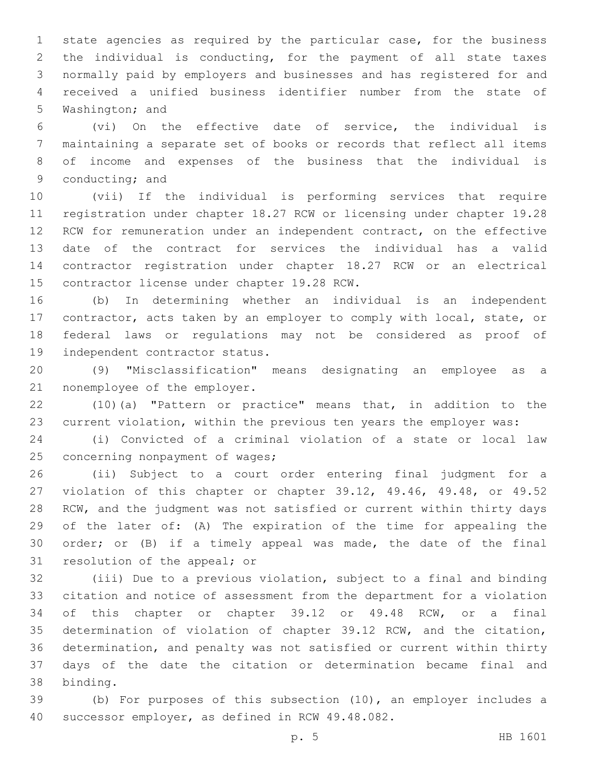state agencies as required by the particular case, for the business the individual is conducting, for the payment of all state taxes normally paid by employers and businesses and has registered for and received a unified business identifier number from the state of 5 Washington; and

 (vi) On the effective date of service, the individual is maintaining a separate set of books or records that reflect all items of income and expenses of the business that the individual is 9 conducting; and

 (vii) If the individual is performing services that require registration under chapter 18.27 RCW or licensing under chapter 19.28 RCW for remuneration under an independent contract, on the effective date of the contract for services the individual has a valid contractor registration under chapter 18.27 RCW or an electrical 15 contractor license under chapter 19.28 RCW.

 (b) In determining whether an individual is an independent contractor, acts taken by an employer to comply with local, state, or federal laws or regulations may not be considered as proof of 19 independent contractor status.

 (9) "Misclassification" means designating an employee as a 21 nonemployee of the employer.

 (10)(a) "Pattern or practice" means that, in addition to the current violation, within the previous ten years the employer was:

 (i) Convicted of a criminal violation of a state or local law 25 concerning nonpayment of wages;

 (ii) Subject to a court order entering final judgment for a violation of this chapter or chapter 39.12, 49.46, 49.48, or 49.52 RCW, and the judgment was not satisfied or current within thirty days of the later of: (A) The expiration of the time for appealing the order; or (B) if a timely appeal was made, the date of the final 31 resolution of the appeal; or

 (iii) Due to a previous violation, subject to a final and binding citation and notice of assessment from the department for a violation of this chapter or chapter 39.12 or 49.48 RCW, or a final determination of violation of chapter 39.12 RCW, and the citation, determination, and penalty was not satisfied or current within thirty days of the date the citation or determination became final and binding.38

 (b) For purposes of this subsection (10), an employer includes a 40 successor employer, as defined in RCW 49.48.082.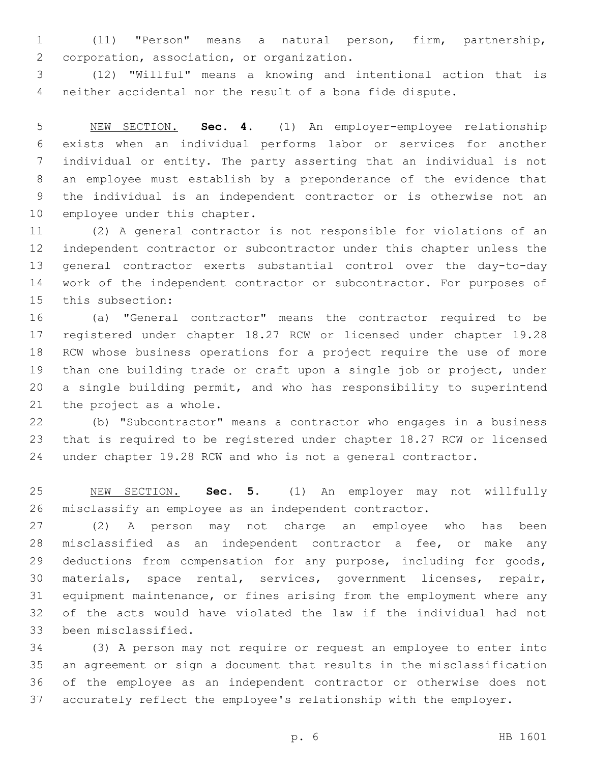(11) "Person" means a natural person, firm, partnership, 2 corporation, association, or organization.

 (12) "Willful" means a knowing and intentional action that is neither accidental nor the result of a bona fide dispute.

 NEW SECTION. **Sec. 4.** (1) An employer-employee relationship exists when an individual performs labor or services for another individual or entity. The party asserting that an individual is not an employee must establish by a preponderance of the evidence that the individual is an independent contractor or is otherwise not an employee under this chapter.

 (2) A general contractor is not responsible for violations of an independent contractor or subcontractor under this chapter unless the general contractor exerts substantial control over the day-to-day work of the independent contractor or subcontractor. For purposes of 15 this subsection:

 (a) "General contractor" means the contractor required to be registered under chapter 18.27 RCW or licensed under chapter 19.28 RCW whose business operations for a project require the use of more than one building trade or craft upon a single job or project, under a single building permit, and who has responsibility to superintend 21 the project as a whole.

 (b) "Subcontractor" means a contractor who engages in a business that is required to be registered under chapter 18.27 RCW or licensed under chapter 19.28 RCW and who is not a general contractor.

 NEW SECTION. **Sec. 5.** (1) An employer may not willfully misclassify an employee as an independent contractor.

 (2) A person may not charge an employee who has been misclassified as an independent contractor a fee, or make any deductions from compensation for any purpose, including for goods, materials, space rental, services, government licenses, repair, equipment maintenance, or fines arising from the employment where any of the acts would have violated the law if the individual had not 33 been misclassified.

 (3) A person may not require or request an employee to enter into an agreement or sign a document that results in the misclassification of the employee as an independent contractor or otherwise does not accurately reflect the employee's relationship with the employer.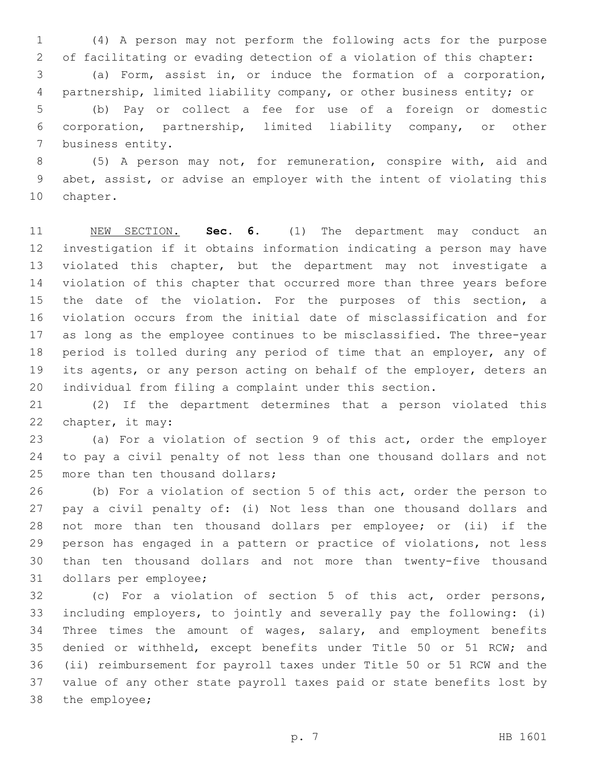(4) A person may not perform the following acts for the purpose of facilitating or evading detection of a violation of this chapter: (a) Form, assist in, or induce the formation of a corporation, partnership, limited liability company, or other business entity; or (b) Pay or collect a fee for use of a foreign or domestic corporation, partnership, limited liability company, or other 7 business entity.

 (5) A person may not, for remuneration, conspire with, aid and abet, assist, or advise an employer with the intent of violating this 10 chapter.

 NEW SECTION. **Sec. 6.** (1) The department may conduct an investigation if it obtains information indicating a person may have violated this chapter, but the department may not investigate a violation of this chapter that occurred more than three years before the date of the violation. For the purposes of this section, a violation occurs from the initial date of misclassification and for as long as the employee continues to be misclassified. The three-year period is tolled during any period of time that an employer, any of its agents, or any person acting on behalf of the employer, deters an individual from filing a complaint under this section.

 (2) If the department determines that a person violated this 22 chapter, it may:

 (a) For a violation of section 9 of this act, order the employer to pay a civil penalty of not less than one thousand dollars and not 25 more than ten thousand dollars;

 (b) For a violation of section 5 of this act, order the person to pay a civil penalty of: (i) Not less than one thousand dollars and not more than ten thousand dollars per employee; or (ii) if the person has engaged in a pattern or practice of violations, not less than ten thousand dollars and not more than twenty-five thousand 31 dollars per employee;

 (c) For a violation of section 5 of this act, order persons, including employers, to jointly and severally pay the following: (i) Three times the amount of wages, salary, and employment benefits denied or withheld, except benefits under Title 50 or 51 RCW; and (ii) reimbursement for payroll taxes under Title 50 or 51 RCW and the value of any other state payroll taxes paid or state benefits lost by 38 the employee;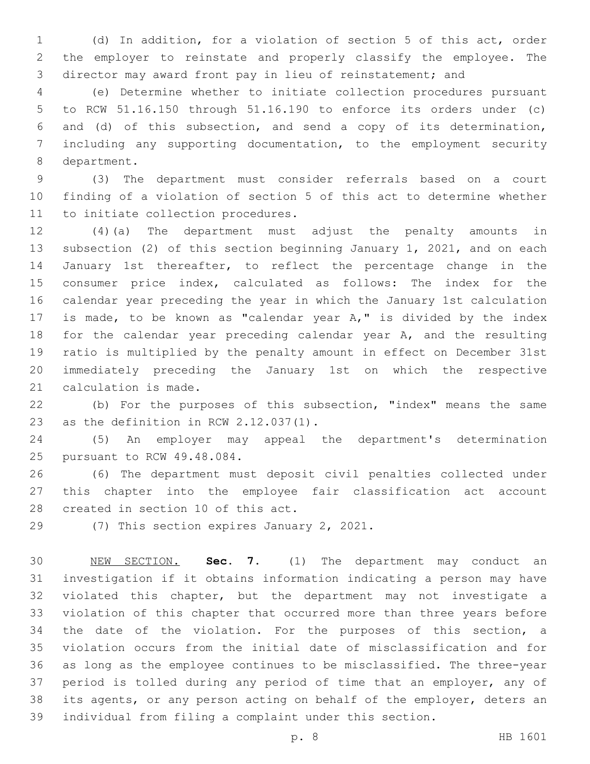(d) In addition, for a violation of section 5 of this act, order the employer to reinstate and properly classify the employee. The director may award front pay in lieu of reinstatement; and

 (e) Determine whether to initiate collection procedures pursuant to RCW 51.16.150 through 51.16.190 to enforce its orders under (c) and (d) of this subsection, and send a copy of its determination, including any supporting documentation, to the employment security 8 department.

 (3) The department must consider referrals based on a court finding of a violation of section 5 of this act to determine whether 11 to initiate collection procedures.

 (4)(a) The department must adjust the penalty amounts in subsection (2) of this section beginning January 1, 2021, and on each January 1st thereafter, to reflect the percentage change in the consumer price index, calculated as follows: The index for the calendar year preceding the year in which the January 1st calculation is made, to be known as "calendar year A," is divided by the index 18 for the calendar year preceding calendar year A, and the resulting ratio is multiplied by the penalty amount in effect on December 31st immediately preceding the January 1st on which the respective 21 calculation is made.

 (b) For the purposes of this subsection, "index" means the same 23 as the definition in RCW  $2.12.037(1)$ .

 (5) An employer may appeal the department's determination 25 pursuant to RCW 49.48.084.

 (6) The department must deposit civil penalties collected under this chapter into the employee fair classification act account 28 created in section 10 of this act.

29 (7) This section expires January 2, 2021.

 NEW SECTION. **Sec. 7.** (1) The department may conduct an investigation if it obtains information indicating a person may have violated this chapter, but the department may not investigate a violation of this chapter that occurred more than three years before the date of the violation. For the purposes of this section, a violation occurs from the initial date of misclassification and for as long as the employee continues to be misclassified. The three-year period is tolled during any period of time that an employer, any of its agents, or any person acting on behalf of the employer, deters an individual from filing a complaint under this section.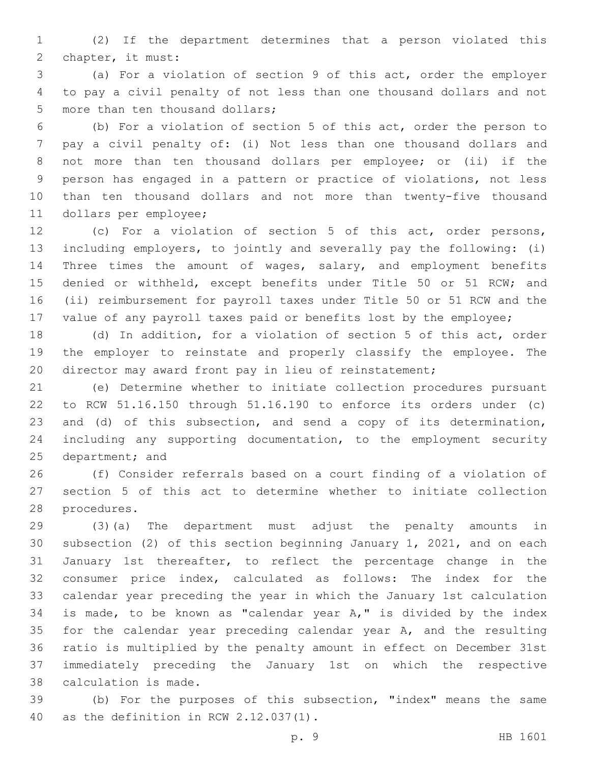(2) If the department determines that a person violated this 2 chapter, it must:

 (a) For a violation of section 9 of this act, order the employer to pay a civil penalty of not less than one thousand dollars and not 5 more than ten thousand dollars;

 (b) For a violation of section 5 of this act, order the person to pay a civil penalty of: (i) Not less than one thousand dollars and not more than ten thousand dollars per employee; or (ii) if the person has engaged in a pattern or practice of violations, not less than ten thousand dollars and not more than twenty-five thousand 11 dollars per employee;

 (c) For a violation of section 5 of this act, order persons, including employers, to jointly and severally pay the following: (i) Three times the amount of wages, salary, and employment benefits denied or withheld, except benefits under Title 50 or 51 RCW; and (ii) reimbursement for payroll taxes under Title 50 or 51 RCW and the 17 value of any payroll taxes paid or benefits lost by the employee;

 (d) In addition, for a violation of section 5 of this act, order the employer to reinstate and properly classify the employee. The 20 director may award front pay in lieu of reinstatement;

 (e) Determine whether to initiate collection procedures pursuant to RCW 51.16.150 through 51.16.190 to enforce its orders under (c) and (d) of this subsection, and send a copy of its determination, including any supporting documentation, to the employment security 25 department; and

 (f) Consider referrals based on a court finding of a violation of section 5 of this act to determine whether to initiate collection 28 procedures.

 (3)(a) The department must adjust the penalty amounts in subsection (2) of this section beginning January 1, 2021, and on each January 1st thereafter, to reflect the percentage change in the consumer price index, calculated as follows: The index for the calendar year preceding the year in which the January 1st calculation is made, to be known as "calendar year A," is divided by the index 35 for the calendar year preceding calendar year A, and the resulting ratio is multiplied by the penalty amount in effect on December 31st immediately preceding the January 1st on which the respective 38 calculation is made.

 (b) For the purposes of this subsection, "index" means the same 40 as the definition in RCW 2.12.037(1).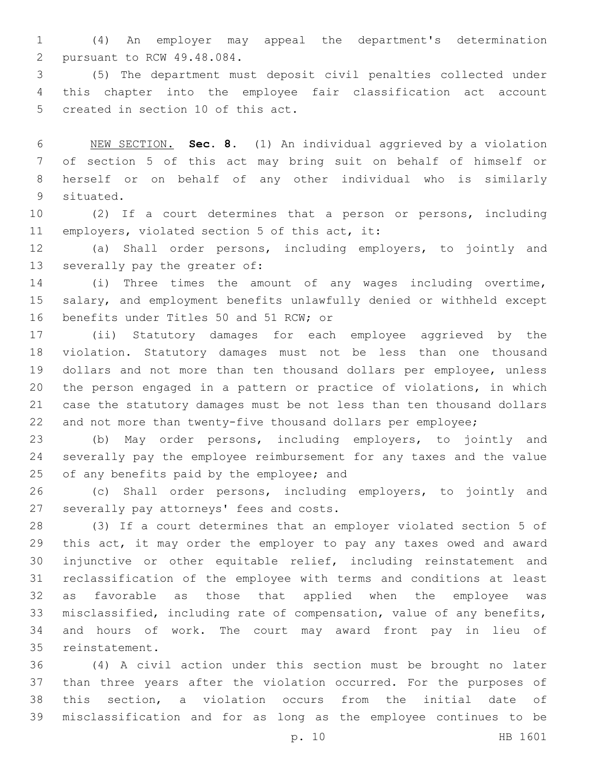(4) An employer may appeal the department's determination 2 pursuant to RCW 49.48.084.

 (5) The department must deposit civil penalties collected under this chapter into the employee fair classification act account 5 created in section 10 of this act.

 NEW SECTION. **Sec. 8.** (1) An individual aggrieved by a violation of section 5 of this act may bring suit on behalf of himself or herself or on behalf of any other individual who is similarly situated.

 (2) If a court determines that a person or persons, including 11 employers, violated section 5 of this act, it:

 (a) Shall order persons, including employers, to jointly and 13 severally pay the greater of:

 (i) Three times the amount of any wages including overtime, salary, and employment benefits unlawfully denied or withheld except 16 benefits under Titles 50 and 51 RCW; or

 (ii) Statutory damages for each employee aggrieved by the violation. Statutory damages must not be less than one thousand dollars and not more than ten thousand dollars per employee, unless the person engaged in a pattern or practice of violations, in which case the statutory damages must be not less than ten thousand dollars and not more than twenty-five thousand dollars per employee;

 (b) May order persons, including employers, to jointly and severally pay the employee reimbursement for any taxes and the value 25 of any benefits paid by the employee; and

 (c) Shall order persons, including employers, to jointly and 27 severally pay attorneys' fees and costs.

 (3) If a court determines that an employer violated section 5 of this act, it may order the employer to pay any taxes owed and award injunctive or other equitable relief, including reinstatement and reclassification of the employee with terms and conditions at least as favorable as those that applied when the employee was misclassified, including rate of compensation, value of any benefits, and hours of work. The court may award front pay in lieu of 35 reinstatement.

 (4) A civil action under this section must be brought no later than three years after the violation occurred. For the purposes of this section, a violation occurs from the initial date of misclassification and for as long as the employee continues to be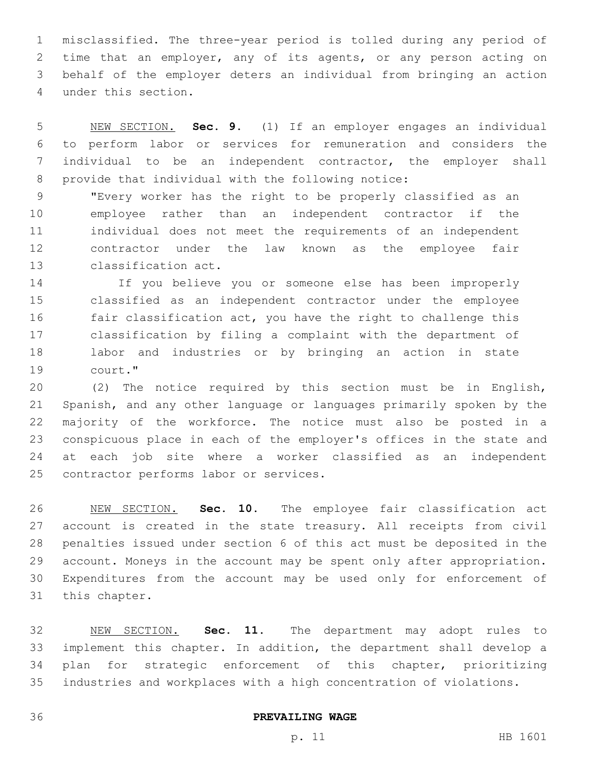misclassified. The three-year period is tolled during any period of time that an employer, any of its agents, or any person acting on behalf of the employer deters an individual from bringing an action under this section.4

 NEW SECTION. **Sec. 9.** (1) If an employer engages an individual to perform labor or services for remuneration and considers the individual to be an independent contractor, the employer shall provide that individual with the following notice:

 "Every worker has the right to be properly classified as an employee rather than an independent contractor if the individual does not meet the requirements of an independent contractor under the law known as the employee fair 13 classification act.

 If you believe you or someone else has been improperly classified as an independent contractor under the employee fair classification act, you have the right to challenge this classification by filing a complaint with the department of labor and industries or by bringing an action in state 19 court."

 (2) The notice required by this section must be in English, Spanish, and any other language or languages primarily spoken by the majority of the workforce. The notice must also be posted in a conspicuous place in each of the employer's offices in the state and at each job site where a worker classified as an independent 25 contractor performs labor or services.

 NEW SECTION. **Sec. 10.** The employee fair classification act account is created in the state treasury. All receipts from civil penalties issued under section 6 of this act must be deposited in the account. Moneys in the account may be spent only after appropriation. Expenditures from the account may be used only for enforcement of this chapter.

 NEW SECTION. **Sec. 11.** The department may adopt rules to implement this chapter. In addition, the department shall develop a plan for strategic enforcement of this chapter, prioritizing industries and workplaces with a high concentration of violations.

**PREVAILING WAGE**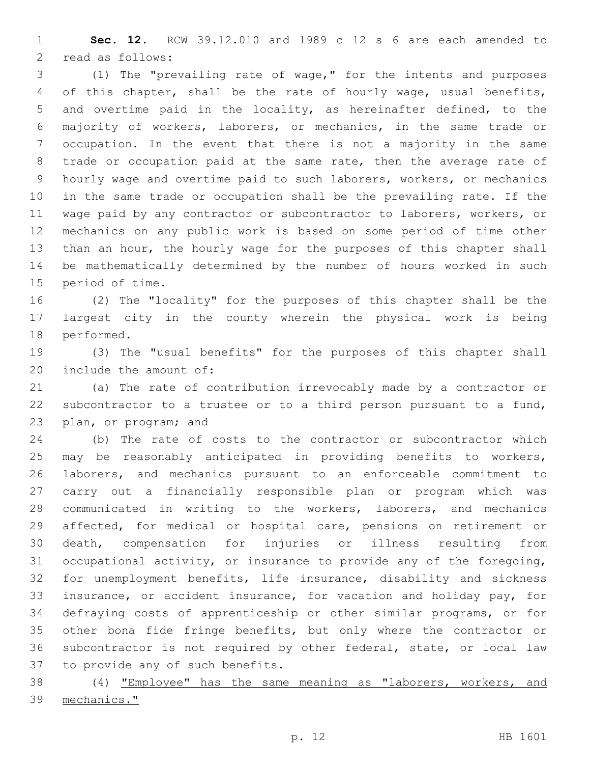**Sec. 12.** RCW 39.12.010 and 1989 c 12 s 6 are each amended to 2 read as follows:

 (1) The "prevailing rate of wage," for the intents and purposes of this chapter, shall be the rate of hourly wage, usual benefits, and overtime paid in the locality, as hereinafter defined, to the majority of workers, laborers, or mechanics, in the same trade or occupation. In the event that there is not a majority in the same trade or occupation paid at the same rate, then the average rate of hourly wage and overtime paid to such laborers, workers, or mechanics in the same trade or occupation shall be the prevailing rate. If the wage paid by any contractor or subcontractor to laborers, workers, or mechanics on any public work is based on some period of time other than an hour, the hourly wage for the purposes of this chapter shall be mathematically determined by the number of hours worked in such 15 period of time.

 (2) The "locality" for the purposes of this chapter shall be the largest city in the county wherein the physical work is being 18 performed.

 (3) The "usual benefits" for the purposes of this chapter shall 20 include the amount of:

 (a) The rate of contribution irrevocably made by a contractor or subcontractor to a trustee or to a third person pursuant to a fund, 23 plan, or program; and

 (b) The rate of costs to the contractor or subcontractor which may be reasonably anticipated in providing benefits to workers, laborers, and mechanics pursuant to an enforceable commitment to carry out a financially responsible plan or program which was communicated in writing to the workers, laborers, and mechanics affected, for medical or hospital care, pensions on retirement or death, compensation for injuries or illness resulting from occupational activity, or insurance to provide any of the foregoing, for unemployment benefits, life insurance, disability and sickness insurance, or accident insurance, for vacation and holiday pay, for defraying costs of apprenticeship or other similar programs, or for other bona fide fringe benefits, but only where the contractor or subcontractor is not required by other federal, state, or local law 37 to provide any of such benefits.

 (4) "Employee" has the same meaning as "laborers, workers, and mechanics."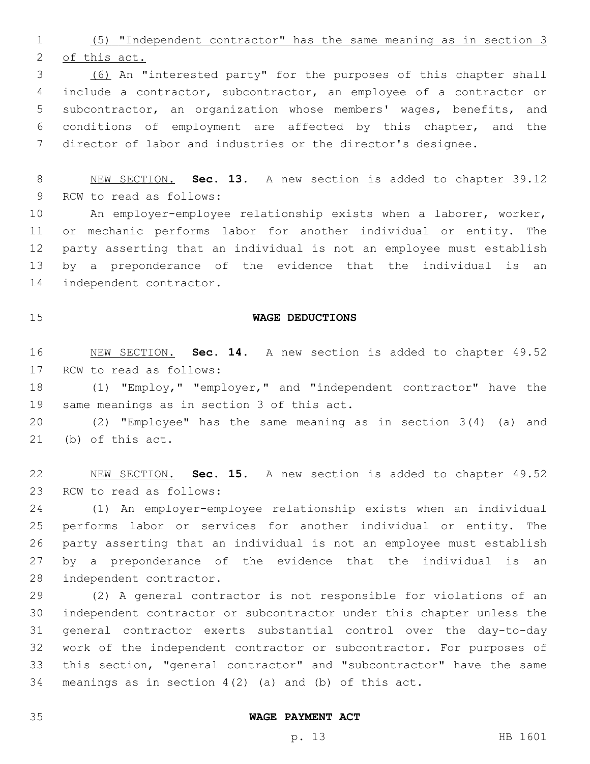(5) "Independent contractor" has the same meaning as in section 3 of this act.

 (6) An "interested party" for the purposes of this chapter shall include a contractor, subcontractor, an employee of a contractor or subcontractor, an organization whose members' wages, benefits, and conditions of employment are affected by this chapter, and the director of labor and industries or the director's designee.

 NEW SECTION. **Sec. 13.** A new section is added to chapter 39.12 9 RCW to read as follows:

 An employer-employee relationship exists when a laborer, worker, or mechanic performs labor for another individual or entity. The party asserting that an individual is not an employee must establish by a preponderance of the evidence that the individual is an 14 independent contractor.

# **WAGE DEDUCTIONS**

 NEW SECTION. **Sec. 14.** A new section is added to chapter 49.52 17 RCW to read as follows:

 (1) "Employ," "employer," and "independent contractor" have the 19 same meanings as in section 3 of this act.

 (2) "Employee" has the same meaning as in section 3(4) (a) and (b) of this act.

 NEW SECTION. **Sec. 15.** A new section is added to chapter 49.52 23 RCW to read as follows:

 (1) An employer-employee relationship exists when an individual performs labor or services for another individual or entity. The party asserting that an individual is not an employee must establish by a preponderance of the evidence that the individual is an 28 independent contractor.

 (2) A general contractor is not responsible for violations of an independent contractor or subcontractor under this chapter unless the general contractor exerts substantial control over the day-to-day work of the independent contractor or subcontractor. For purposes of this section, "general contractor" and "subcontractor" have the same meanings as in section 4(2) (a) and (b) of this act.

#### **WAGE PAYMENT ACT**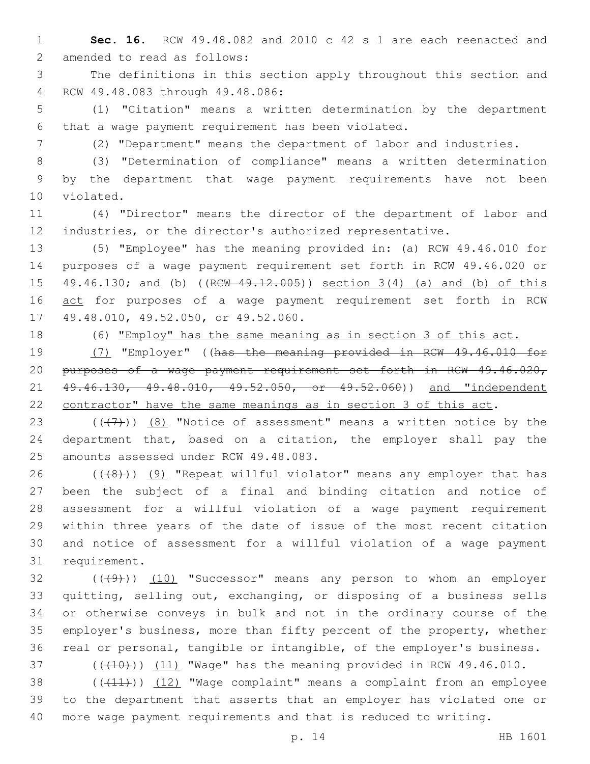1 **Sec. 16.** RCW 49.48.082 and 2010 c 42 s 1 are each reenacted and 2 amended to read as follows:

3 The definitions in this section apply throughout this section and 4 RCW 49.48.083 through 49.48.086:

5 (1) "Citation" means a written determination by the department 6 that a wage payment requirement has been violated.

7 (2) "Department" means the department of labor and industries.

8 (3) "Determination of compliance" means a written determination 9 by the department that wage payment requirements have not been 10 violated.

11 (4) "Director" means the director of the department of labor and 12 industries, or the director's authorized representative.

13 (5) "Employee" has the meaning provided in: (a) RCW 49.46.010 for 14 purposes of a wage payment requirement set forth in RCW 49.46.020 or 15 49.46.130; and (b) ((RCW 49.12.005)) section 3(4) (a) and (b) of this 16 act for purposes of a wage payment requirement set forth in RCW 17 49.48.010, 49.52.050, or 49.52.060.

18 (6) "Employ" has the same meaning as in section 3 of this act.

 (7) "Employer" ((has the meaning provided in RCW 49.46.010 for purposes of a wage payment requirement set forth in RCW 49.46.020, 21 49.46.130, 49.48.010, 49.52.050, or 49.52.060) and "independent contractor" have the same meanings as in section 3 of this act.

23  $((+7+))$   $(8)$  "Notice of assessment" means a written notice by the 24 department that, based on a citation, the employer shall pay the 25 amounts assessed under RCW 49.48.083.

26 (((8)) (9) "Repeat willful violator" means any employer that has been the subject of a final and binding citation and notice of assessment for a willful violation of a wage payment requirement within three years of the date of issue of the most recent citation and notice of assessment for a willful violation of a wage payment 31 requirement.

32 (((49))) (10) "Successor" means any person to whom an employer quitting, selling out, exchanging, or disposing of a business sells or otherwise conveys in bulk and not in the ordinary course of the employer's business, more than fifty percent of the property, whether real or personal, tangible or intangible, of the employer's business.

 $(110)$  (( $(10)$ )) (11) "Wage" has the meaning provided in RCW 49.46.010.

38 ((+11)) (12) "Wage complaint" means a complaint from an employee 39 to the department that asserts that an employer has violated one or 40 more wage payment requirements and that is reduced to writing.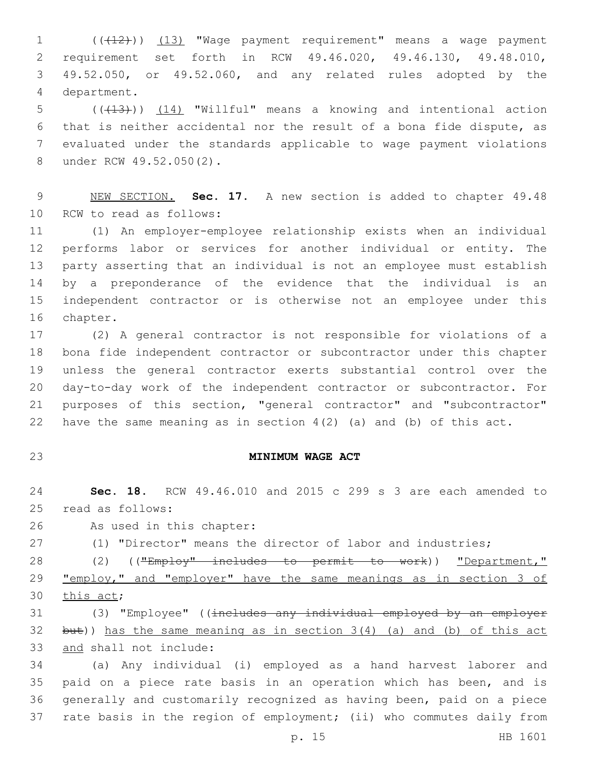1 (( $(12)$ )) (13) "Wage payment requirement" means a wage payment requirement set forth in RCW 49.46.020, 49.46.130, 49.48.010, 49.52.050, or 49.52.060, and any related rules adopted by the 4 department.

5 (( $(13)$ )) (14) "Willful" means a knowing and intentional action that is neither accidental nor the result of a bona fide dispute, as evaluated under the standards applicable to wage payment violations 8 under RCW 49.52.050(2).

 NEW SECTION. **Sec. 17.** A new section is added to chapter 49.48 10 RCW to read as follows:

 (1) An employer-employee relationship exists when an individual performs labor or services for another individual or entity. The party asserting that an individual is not an employee must establish by a preponderance of the evidence that the individual is an independent contractor or is otherwise not an employee under this 16 chapter.

 (2) A general contractor is not responsible for violations of a bona fide independent contractor or subcontractor under this chapter unless the general contractor exerts substantial control over the day-to-day work of the independent contractor or subcontractor. For purposes of this section, "general contractor" and "subcontractor" have the same meaning as in section 4(2) (a) and (b) of this act.

### **MINIMUM WAGE ACT**

 **Sec. 18.** RCW 49.46.010 and 2015 c 299 s 3 are each amended to 25 read as follows:

26 As used in this chapter:

(1) "Director" means the director of labor and industries;

28 (2) ((<del>"Employ" includes to permit to work</del>)) "Department," "employ," and "employer" have the same meanings as in section 3 of 30 this act;

 (3) "Employee" ((includes any individual employed by an employer 32 but)) has the same meaning as in section  $3(4)$  (a) and (b) of this act 33 and shall not include:

 (a) Any individual (i) employed as a hand harvest laborer and 35 paid on a piece rate basis in an operation which has been, and is generally and customarily recognized as having been, paid on a piece rate basis in the region of employment; (ii) who commutes daily from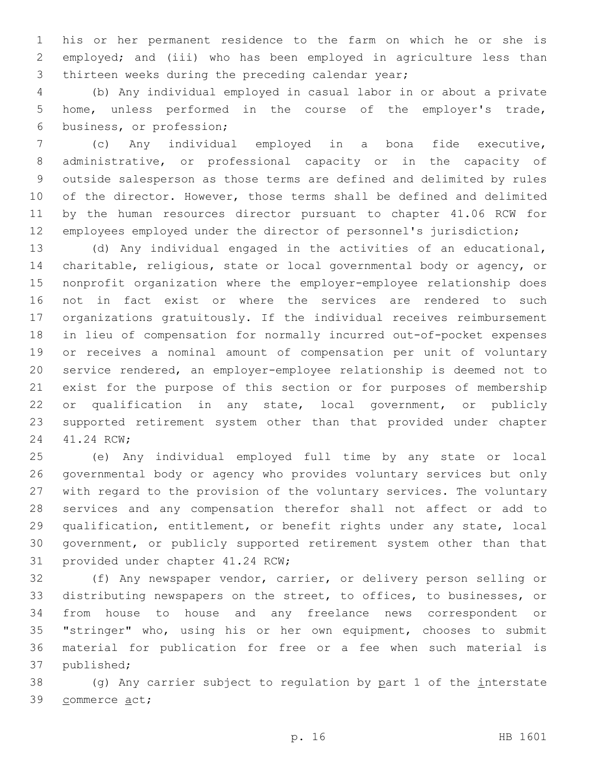his or her permanent residence to the farm on which he or she is employed; and (iii) who has been employed in agriculture less than 3 thirteen weeks during the preceding calendar year;

 (b) Any individual employed in casual labor in or about a private home, unless performed in the course of the employer's trade, 6 business, or profession;

 (c) Any individual employed in a bona fide executive, administrative, or professional capacity or in the capacity of outside salesperson as those terms are defined and delimited by rules of the director. However, those terms shall be defined and delimited by the human resources director pursuant to chapter 41.06 RCW for employees employed under the director of personnel's jurisdiction;

 (d) Any individual engaged in the activities of an educational, charitable, religious, state or local governmental body or agency, or nonprofit organization where the employer-employee relationship does not in fact exist or where the services are rendered to such organizations gratuitously. If the individual receives reimbursement in lieu of compensation for normally incurred out-of-pocket expenses or receives a nominal amount of compensation per unit of voluntary service rendered, an employer-employee relationship is deemed not to exist for the purpose of this section or for purposes of membership or qualification in any state, local government, or publicly supported retirement system other than that provided under chapter 24 41.24 RCW;

 (e) Any individual employed full time by any state or local governmental body or agency who provides voluntary services but only with regard to the provision of the voluntary services. The voluntary services and any compensation therefor shall not affect or add to qualification, entitlement, or benefit rights under any state, local government, or publicly supported retirement system other than that 31 provided under chapter 41.24 RCW;

 (f) Any newspaper vendor, carrier, or delivery person selling or distributing newspapers on the street, to offices, to businesses, or from house to house and any freelance news correspondent or "stringer" who, using his or her own equipment, chooses to submit material for publication for free or a fee when such material is 37 published;

 (g) Any carrier subject to regulation by part 1 of the interstate 39 commerce act;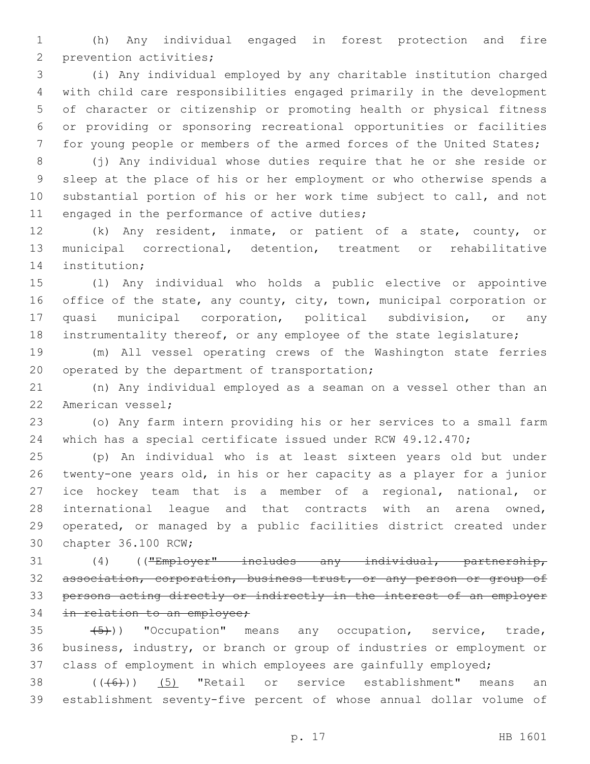(h) Any individual engaged in forest protection and fire 2 prevention activities;

 (i) Any individual employed by any charitable institution charged with child care responsibilities engaged primarily in the development of character or citizenship or promoting health or physical fitness or providing or sponsoring recreational opportunities or facilities for young people or members of the armed forces of the United States;

 (j) Any individual whose duties require that he or she reside or sleep at the place of his or her employment or who otherwise spends a substantial portion of his or her work time subject to call, and not 11 engaged in the performance of active duties;

 (k) Any resident, inmate, or patient of a state, county, or municipal correctional, detention, treatment or rehabilitative 14 institution;

 (l) Any individual who holds a public elective or appointive office of the state, any county, city, town, municipal corporation or quasi municipal corporation, political subdivision, or any instrumentality thereof, or any employee of the state legislature;

 (m) All vessel operating crews of the Washington state ferries 20 operated by the department of transportation;

 (n) Any individual employed as a seaman on a vessel other than an 22 American vessel;

 (o) Any farm intern providing his or her services to a small farm which has a special certificate issued under RCW 49.12.470;

 (p) An individual who is at least sixteen years old but under twenty-one years old, in his or her capacity as a player for a junior ice hockey team that is a member of a regional, national, or international league and that contracts with an arena owned, operated, or managed by a public facilities district created under 30 chapter 36.100 RCW;

31 (4) (("Employer" includes any individual, partnership, association, corporation, business trust, or any person or group of persons acting directly or indirectly in the interest of an employer 34 in relation to an employee;

 $(35 \leftarrow (5))$  "Occupation" means any occupation, service, trade, business, industry, or branch or group of industries or employment or class of employment in which employees are gainfully employed;

  $((+6)$ )  $(5)$  "Retail or service establishment" means an establishment seventy-five percent of whose annual dollar volume of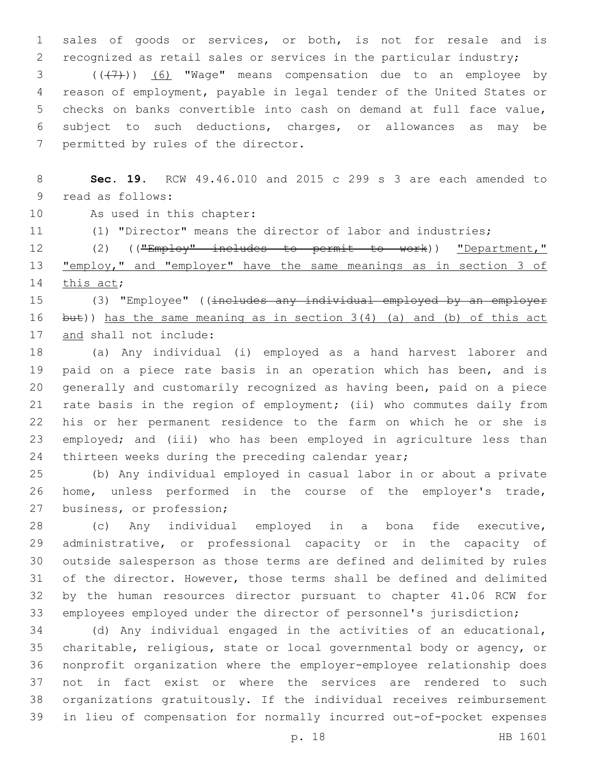sales of goods or services, or both, is not for resale and is recognized as retail sales or services in the particular industry; 3 (((+7)) (6) "Wage" means compensation due to an employee by reason of employment, payable in legal tender of the United States or checks on banks convertible into cash on demand at full face value, subject to such deductions, charges, or allowances as may be 7 permitted by rules of the director.

 **Sec. 19.** RCW 49.46.010 and 2015 c 299 s 3 are each amended to 9 read as follows:

10 As used in this chapter:

(1) "Director" means the director of labor and industries;

12 (2) (("Employ" includes to permit to work)) "Department," 13 "employ," and "employer" have the same meanings as in section 3 of 14 this act;

15 (3) "Employee" ((includes any individual employed by an employer 16 but)) has the same meaning as in section 3(4) (a) and (b) of this act 17 and shall not include:

 (a) Any individual (i) employed as a hand harvest laborer and paid on a piece rate basis in an operation which has been, and is generally and customarily recognized as having been, paid on a piece rate basis in the region of employment; (ii) who commutes daily from his or her permanent residence to the farm on which he or she is employed; and (iii) who has been employed in agriculture less than 24 thirteen weeks during the preceding calendar year;

 (b) Any individual employed in casual labor in or about a private home, unless performed in the course of the employer's trade, 27 business, or profession;

 (c) Any individual employed in a bona fide executive, administrative, or professional capacity or in the capacity of outside salesperson as those terms are defined and delimited by rules of the director. However, those terms shall be defined and delimited by the human resources director pursuant to chapter 41.06 RCW for employees employed under the director of personnel's jurisdiction;

 (d) Any individual engaged in the activities of an educational, charitable, religious, state or local governmental body or agency, or nonprofit organization where the employer-employee relationship does not in fact exist or where the services are rendered to such organizations gratuitously. If the individual receives reimbursement in lieu of compensation for normally incurred out-of-pocket expenses

p. 18 HB 1601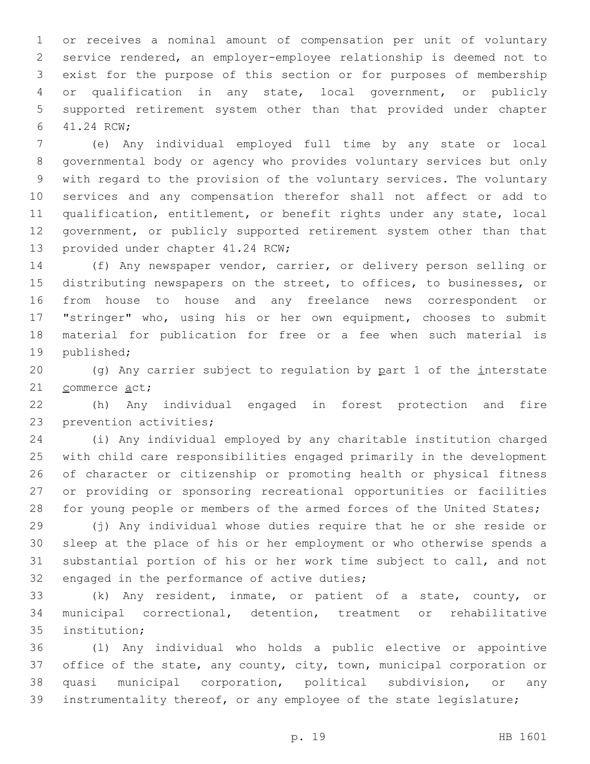or receives a nominal amount of compensation per unit of voluntary service rendered, an employer-employee relationship is deemed not to exist for the purpose of this section or for purposes of membership or qualification in any state, local government, or publicly supported retirement system other than that provided under chapter 41.24 RCW;6

 (e) Any individual employed full time by any state or local governmental body or agency who provides voluntary services but only with regard to the provision of the voluntary services. The voluntary services and any compensation therefor shall not affect or add to qualification, entitlement, or benefit rights under any state, local government, or publicly supported retirement system other than that 13 provided under chapter 41.24 RCW;

 (f) Any newspaper vendor, carrier, or delivery person selling or distributing newspapers on the street, to offices, to businesses, or from house to house and any freelance news correspondent or "stringer" who, using his or her own equipment, chooses to submit material for publication for free or a fee when such material is 19 published;

 (g) Any carrier subject to regulation by part 1 of the interstate 21 commerce act;

 (h) Any individual engaged in forest protection and fire 23 prevention activities;

 (i) Any individual employed by any charitable institution charged with child care responsibilities engaged primarily in the development of character or citizenship or promoting health or physical fitness or providing or sponsoring recreational opportunities or facilities 28 for young people or members of the armed forces of the United States;

 (j) Any individual whose duties require that he or she reside or sleep at the place of his or her employment or who otherwise spends a substantial portion of his or her work time subject to call, and not 32 engaged in the performance of active duties;

 (k) Any resident, inmate, or patient of a state, county, or municipal correctional, detention, treatment or rehabilitative 35 institution;

 (l) Any individual who holds a public elective or appointive office of the state, any county, city, town, municipal corporation or quasi municipal corporation, political subdivision, or any instrumentality thereof, or any employee of the state legislature;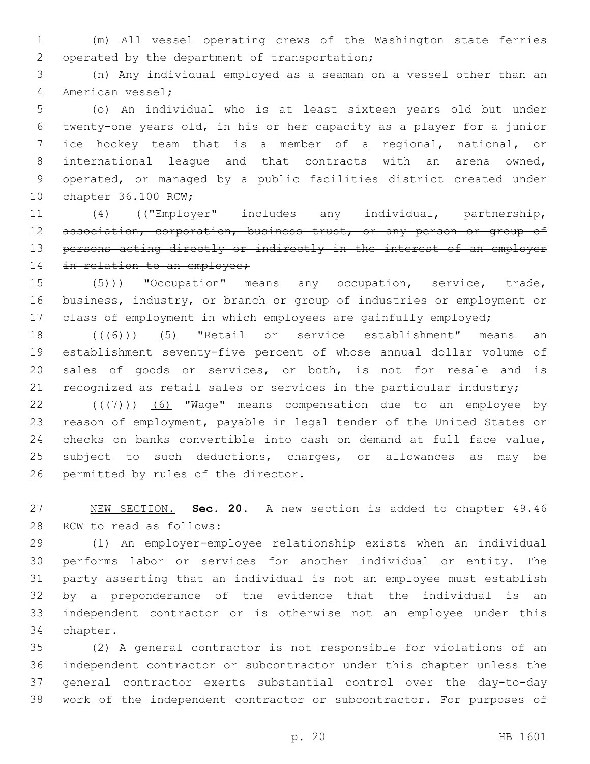(m) All vessel operating crews of the Washington state ferries 2 operated by the department of transportation;

 (n) Any individual employed as a seaman on a vessel other than an 4 American vessel;

 (o) An individual who is at least sixteen years old but under twenty-one years old, in his or her capacity as a player for a junior ice hockey team that is a member of a regional, national, or international league and that contracts with an arena owned, operated, or managed by a public facilities district created under 10 chapter 36.100 RCW;

 (4) (("Employer" includes any individual, partnership, 12 association, corporation, business trust, or any person or group of persons acting directly or indirectly in the interest of an employer 14 in relation to an employee;

15  $(5)$ )) "Occupation" means any occupation, service, trade, business, industry, or branch or group of industries or employment or class of employment in which employees are gainfully employed;

18 (((6)) (5) "Retail or service establishment" means an establishment seventy-five percent of whose annual dollar volume of sales of goods or services, or both, is not for resale and is 21 recognized as retail sales or services in the particular industry;

 $((+7)$ ) (6) "Wage" means compensation due to an employee by reason of employment, payable in legal tender of the United States or checks on banks convertible into cash on demand at full face value, subject to such deductions, charges, or allowances as may be 26 permitted by rules of the director.

 NEW SECTION. **Sec. 20.** A new section is added to chapter 49.46 28 RCW to read as follows:

 (1) An employer-employee relationship exists when an individual performs labor or services for another individual or entity. The party asserting that an individual is not an employee must establish by a preponderance of the evidence that the individual is an independent contractor or is otherwise not an employee under this 34 chapter.

 (2) A general contractor is not responsible for violations of an independent contractor or subcontractor under this chapter unless the general contractor exerts substantial control over the day-to-day work of the independent contractor or subcontractor. For purposes of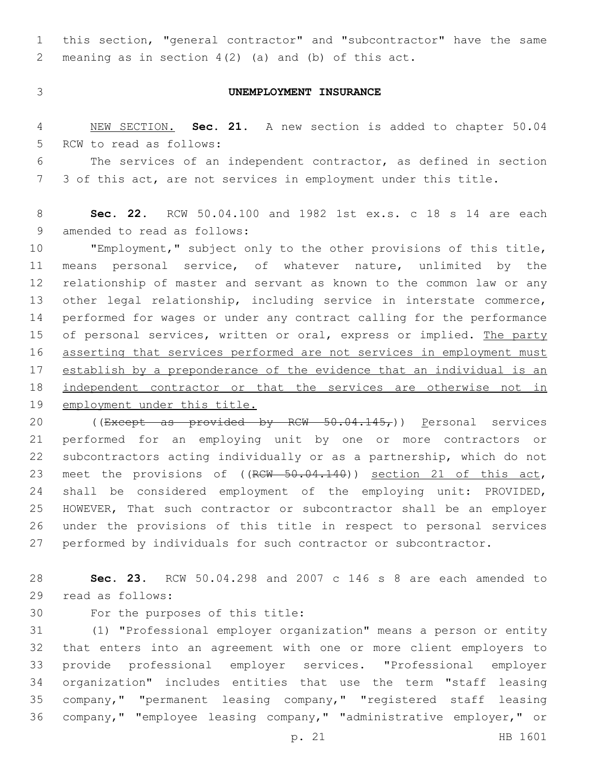this section, "general contractor" and "subcontractor" have the same meaning as in section 4(2) (a) and (b) of this act.

### **UNEMPLOYMENT INSURANCE**

 NEW SECTION. **Sec. 21.** A new section is added to chapter 50.04 5 RCW to read as follows:

 The services of an independent contractor, as defined in section 3 of this act, are not services in employment under this title.

 **Sec. 22.** RCW 50.04.100 and 1982 1st ex.s. c 18 s 14 are each 9 amended to read as follows:

 "Employment," subject only to the other provisions of this title, means personal service, of whatever nature, unlimited by the relationship of master and servant as known to the common law or any other legal relationship, including service in interstate commerce, performed for wages or under any contract calling for the performance 15 of personal services, written or oral, express or implied. The party asserting that services performed are not services in employment must establish by a preponderance of the evidence that an individual is an 18 independent contractor or that the services are otherwise not in employment under this title.

20 ((Except as provided by RCW  $50.04.145<sub>r</sub>$ )) Personal services performed for an employing unit by one or more contractors or subcontractors acting individually or as a partnership, which do not 23 meet the provisions of ((RCW 50.04.140)) section 21 of this act, shall be considered employment of the employing unit: PROVIDED, HOWEVER, That such contractor or subcontractor shall be an employer under the provisions of this title in respect to personal services performed by individuals for such contractor or subcontractor.

 **Sec. 23.** RCW 50.04.298 and 2007 c 146 s 8 are each amended to 29 read as follows:

30 For the purposes of this title:

 (1) "Professional employer organization" means a person or entity that enters into an agreement with one or more client employers to provide professional employer services. "Professional employer organization" includes entities that use the term "staff leasing company," "permanent leasing company," "registered staff leasing company," "employee leasing company," "administrative employer," or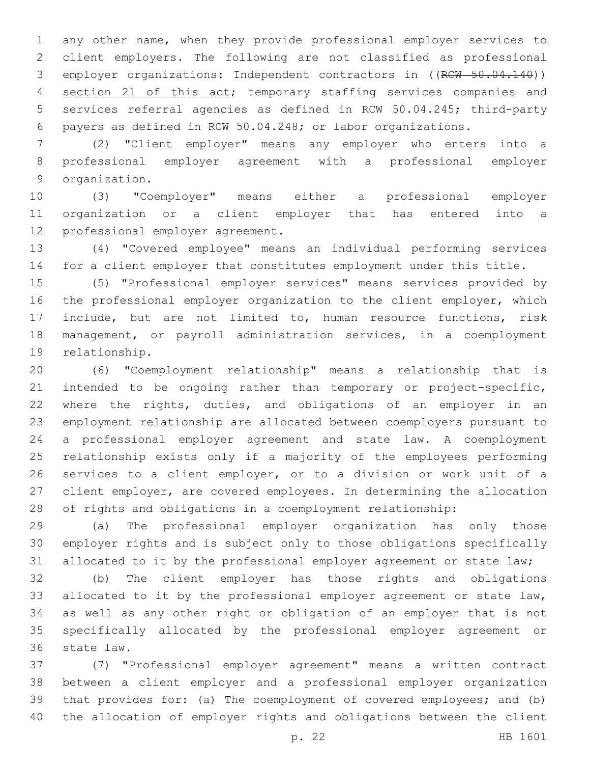any other name, when they provide professional employer services to client employers. The following are not classified as professional 3 employer organizations: Independent contractors in ((RCW 50.04.140)) section 21 of this act; temporary staffing services companies and services referral agencies as defined in RCW 50.04.245; third-party payers as defined in RCW 50.04.248; or labor organizations.

 (2) "Client employer" means any employer who enters into a professional employer agreement with a professional employer 9 organization.

 (3) "Coemployer" means either a professional employer organization or a client employer that has entered into a 12 professional employer agreement.

 (4) "Covered employee" means an individual performing services for a client employer that constitutes employment under this title.

 (5) "Professional employer services" means services provided by the professional employer organization to the client employer, which include, but are not limited to, human resource functions, risk management, or payroll administration services, in a coemployment 19 relationship.

 (6) "Coemployment relationship" means a relationship that is intended to be ongoing rather than temporary or project-specific, 22 where the rights, duties, and obligations of an employer in an employment relationship are allocated between coemployers pursuant to a professional employer agreement and state law. A coemployment relationship exists only if a majority of the employees performing services to a client employer, or to a division or work unit of a client employer, are covered employees. In determining the allocation of rights and obligations in a coemployment relationship:

 (a) The professional employer organization has only those employer rights and is subject only to those obligations specifically allocated to it by the professional employer agreement or state law;

 (b) The client employer has those rights and obligations 33 allocated to it by the professional employer agreement or state law, as well as any other right or obligation of an employer that is not specifically allocated by the professional employer agreement or 36 state law.

 (7) "Professional employer agreement" means a written contract between a client employer and a professional employer organization that provides for: (a) The coemployment of covered employees; and (b) the allocation of employer rights and obligations between the client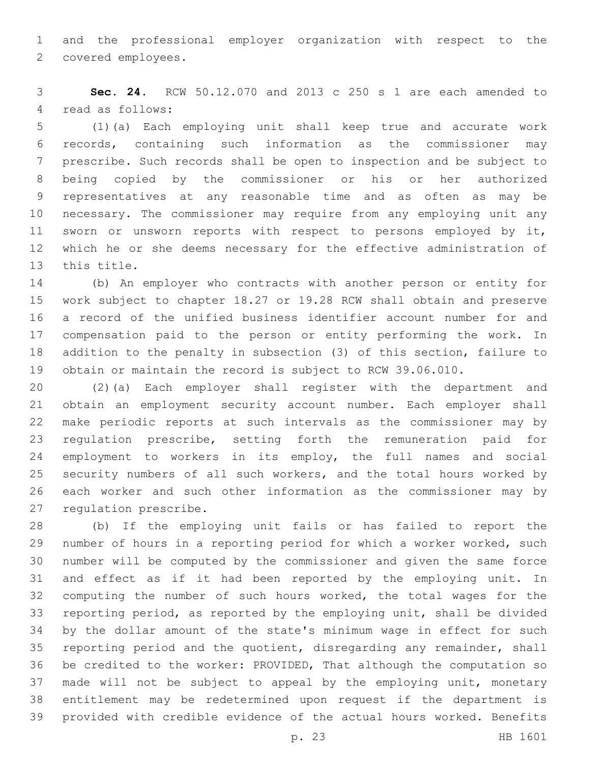and the professional employer organization with respect to the 2 covered employees.

 **Sec. 24.** RCW 50.12.070 and 2013 c 250 s 1 are each amended to 4 read as follows:

 (1)(a) Each employing unit shall keep true and accurate work records, containing such information as the commissioner may prescribe. Such records shall be open to inspection and be subject to being copied by the commissioner or his or her authorized representatives at any reasonable time and as often as may be necessary. The commissioner may require from any employing unit any sworn or unsworn reports with respect to persons employed by it, which he or she deems necessary for the effective administration of 13 this title.

 (b) An employer who contracts with another person or entity for work subject to chapter 18.27 or 19.28 RCW shall obtain and preserve a record of the unified business identifier account number for and compensation paid to the person or entity performing the work. In addition to the penalty in subsection (3) of this section, failure to obtain or maintain the record is subject to RCW 39.06.010.

 (2)(a) Each employer shall register with the department and obtain an employment security account number. Each employer shall make periodic reports at such intervals as the commissioner may by regulation prescribe, setting forth the remuneration paid for employment to workers in its employ, the full names and social security numbers of all such workers, and the total hours worked by each worker and such other information as the commissioner may by 27 regulation prescribe.

 (b) If the employing unit fails or has failed to report the 29 number of hours in a reporting period for which a worker worked, such number will be computed by the commissioner and given the same force and effect as if it had been reported by the employing unit. In computing the number of such hours worked, the total wages for the reporting period, as reported by the employing unit, shall be divided by the dollar amount of the state's minimum wage in effect for such reporting period and the quotient, disregarding any remainder, shall be credited to the worker: PROVIDED, That although the computation so 37 made will not be subject to appeal by the employing unit, monetary entitlement may be redetermined upon request if the department is provided with credible evidence of the actual hours worked. Benefits

p. 23 HB 1601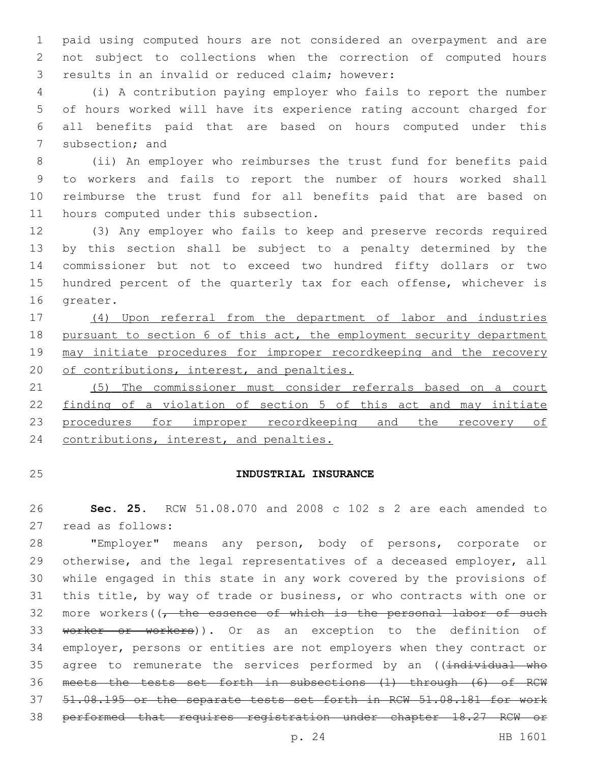paid using computed hours are not considered an overpayment and are not subject to collections when the correction of computed hours 3 results in an invalid or reduced claim; however:

 (i) A contribution paying employer who fails to report the number of hours worked will have its experience rating account charged for all benefits paid that are based on hours computed under this 7 subsection; and

 (ii) An employer who reimburses the trust fund for benefits paid to workers and fails to report the number of hours worked shall reimburse the trust fund for all benefits paid that are based on 11 hours computed under this subsection.

 (3) Any employer who fails to keep and preserve records required by this section shall be subject to a penalty determined by the commissioner but not to exceed two hundred fifty dollars or two hundred percent of the quarterly tax for each offense, whichever is 16 greater.

 (4) Upon referral from the department of labor and industries 18 pursuant to section 6 of this act, the employment security department 19 may initiate procedures for improper recordkeeping and the recovery 20 of contributions, interest, and penalties.

 (5) The commissioner must consider referrals based on a court finding of a violation of section 5 of this act and may initiate 23 procedures for improper recordkeeping and the recovery of 24 contributions, interest, and penalties.

# **INDUSTRIAL INSURANCE**

 **Sec. 25.** RCW 51.08.070 and 2008 c 102 s 2 are each amended to 27 read as follows:

 "Employer" means any person, body of persons, corporate or otherwise, and the legal representatives of a deceased employer, all while engaged in this state in any work covered by the provisions of this title, by way of trade or business, or who contracts with one or 32 more workers( $\sqrt{t}$  the essence of which is the personal labor of such 33 worker or workers)). Or as an exception to the definition of employer, persons or entities are not employers when they contract or 35 agree to remunerate the services performed by an ((individual who meets the tests set forth in subsections (1) through (6) of RCW 51.08.195 or the separate tests set forth in RCW 51.08.181 for work performed that requires registration under chapter 18.27 RCW or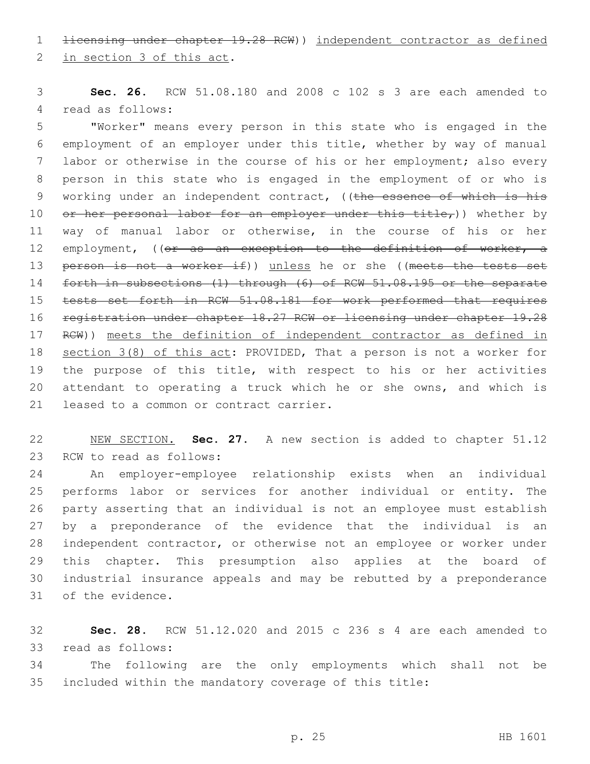1 <del>licensing under chapter 19.28 RCW</del>)) independent contractor as defined

2 in section 3 of this act.

 **Sec. 26.** RCW 51.08.180 and 2008 c 102 s 3 are each amended to 4 read as follows:

 "Worker" means every person in this state who is engaged in the employment of an employer under this title, whether by way of manual labor or otherwise in the course of his or her employment; also every person in this state who is engaged in the employment of or who is 9 working under an independent contract, ((the essence of which is his 10 or her personal labor for an employer under this title,)) whether by way of manual labor or otherwise, in the course of his or her 12 employment, ((or as an exception to the definition of worker, a 13 person is not a worker if)) unless he or she ((meets the tests set 14 forth in subsections (1) through (6) of RCW 51.08.195 or the separate tests set forth in RCW 51.08.181 for work performed that requires registration under chapter 18.27 RCW or licensing under chapter 19.28 RCW)) meets the definition of independent contractor as defined in section 3(8) of this act: PROVIDED, That a person is not a worker for the purpose of this title, with respect to his or her activities attendant to operating a truck which he or she owns, and which is 21 leased to a common or contract carrier.

 NEW SECTION. **Sec. 27.** A new section is added to chapter 51.12 23 RCW to read as follows:

 An employer-employee relationship exists when an individual performs labor or services for another individual or entity. The party asserting that an individual is not an employee must establish by a preponderance of the evidence that the individual is an independent contractor, or otherwise not an employee or worker under this chapter. This presumption also applies at the board of industrial insurance appeals and may be rebutted by a preponderance 31 of the evidence.

 **Sec. 28.** RCW 51.12.020 and 2015 c 236 s 4 are each amended to 33 read as follows:

 The following are the only employments which shall not be included within the mandatory coverage of this title: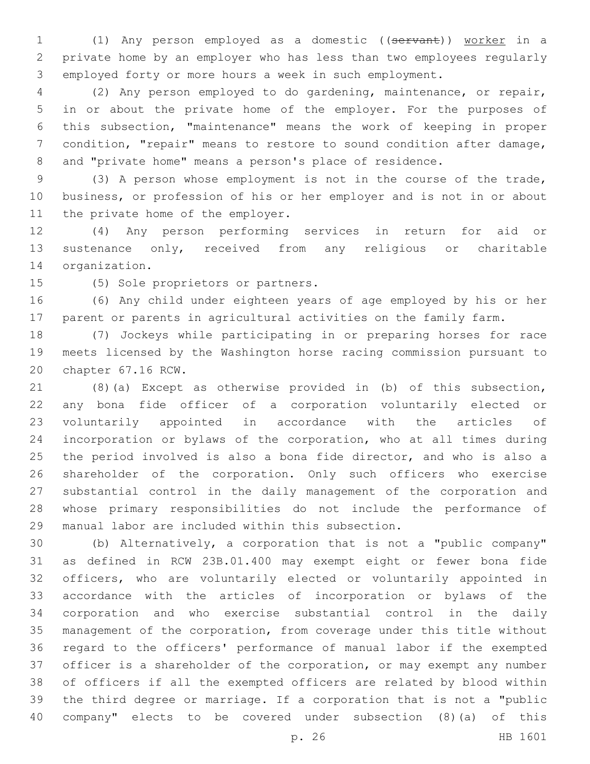1 (1) Any person employed as a domestic ((servant)) worker in a private home by an employer who has less than two employees regularly employed forty or more hours a week in such employment.

 (2) Any person employed to do gardening, maintenance, or repair, in or about the private home of the employer. For the purposes of this subsection, "maintenance" means the work of keeping in proper condition, "repair" means to restore to sound condition after damage, and "private home" means a person's place of residence.

 (3) A person whose employment is not in the course of the trade, business, or profession of his or her employer and is not in or about 11 the private home of the employer.

 (4) Any person performing services in return for aid or sustenance only, received from any religious or charitable 14 organization.

15 (5) Sole proprietors or partners.

 (6) Any child under eighteen years of age employed by his or her parent or parents in agricultural activities on the family farm.

 (7) Jockeys while participating in or preparing horses for race meets licensed by the Washington horse racing commission pursuant to 20 chapter 67.16 RCW.

 (8)(a) Except as otherwise provided in (b) of this subsection, any bona fide officer of a corporation voluntarily elected or voluntarily appointed in accordance with the articles of incorporation or bylaws of the corporation, who at all times during the period involved is also a bona fide director, and who is also a shareholder of the corporation. Only such officers who exercise substantial control in the daily management of the corporation and whose primary responsibilities do not include the performance of 29 manual labor are included within this subsection.

 (b) Alternatively, a corporation that is not a "public company" as defined in RCW 23B.01.400 may exempt eight or fewer bona fide officers, who are voluntarily elected or voluntarily appointed in accordance with the articles of incorporation or bylaws of the corporation and who exercise substantial control in the daily management of the corporation, from coverage under this title without regard to the officers' performance of manual labor if the exempted officer is a shareholder of the corporation, or may exempt any number of officers if all the exempted officers are related by blood within the third degree or marriage. If a corporation that is not a "public company" elects to be covered under subsection (8)(a) of this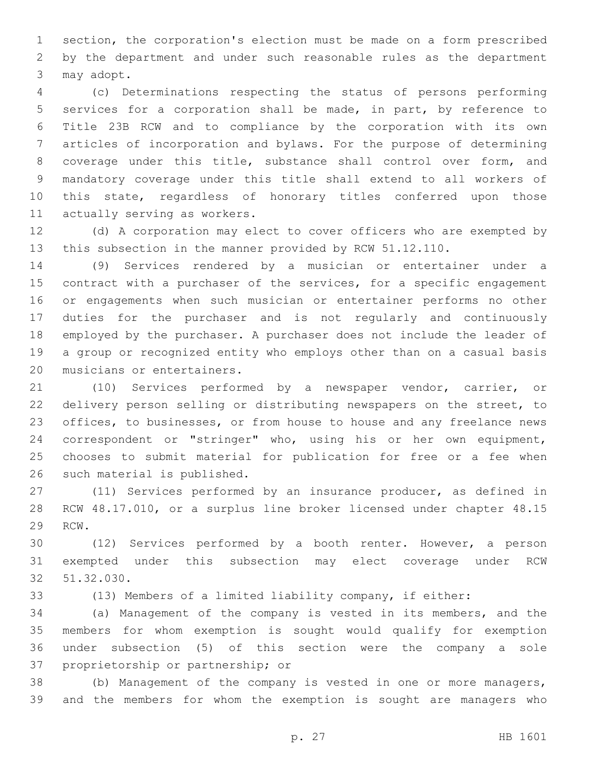section, the corporation's election must be made on a form prescribed by the department and under such reasonable rules as the department 3 may adopt.

 (c) Determinations respecting the status of persons performing services for a corporation shall be made, in part, by reference to Title 23B RCW and to compliance by the corporation with its own articles of incorporation and bylaws. For the purpose of determining coverage under this title, substance shall control over form, and mandatory coverage under this title shall extend to all workers of this state, regardless of honorary titles conferred upon those 11 actually serving as workers.

 (d) A corporation may elect to cover officers who are exempted by this subsection in the manner provided by RCW 51.12.110.

 (9) Services rendered by a musician or entertainer under a 15 contract with a purchaser of the services, for a specific engagement or engagements when such musician or entertainer performs no other duties for the purchaser and is not regularly and continuously employed by the purchaser. A purchaser does not include the leader of a group or recognized entity who employs other than on a casual basis 20 musicians or entertainers.

 (10) Services performed by a newspaper vendor, carrier, or delivery person selling or distributing newspapers on the street, to 23 offices, to businesses, or from house to house and any freelance news correspondent or "stringer" who, using his or her own equipment, chooses to submit material for publication for free or a fee when 26 such material is published.

 (11) Services performed by an insurance producer, as defined in RCW 48.17.010, or a surplus line broker licensed under chapter 48.15 29 RCW.

 (12) Services performed by a booth renter. However, a person exempted under this subsection may elect coverage under RCW 32.030.

(13) Members of a limited liability company, if either:

 (a) Management of the company is vested in its members, and the members for whom exemption is sought would qualify for exemption under subsection (5) of this section were the company a sole 37 proprietorship or partnership; or

 (b) Management of the company is vested in one or more managers, and the members for whom the exemption is sought are managers who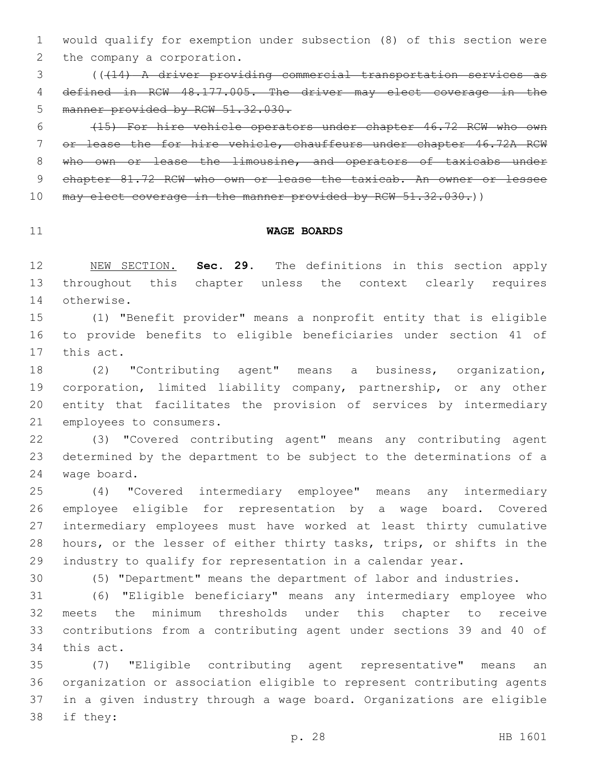would qualify for exemption under subsection (8) of this section were 2 the company a corporation.

 (((14) A driver providing commercial transportation services as defined in RCW 48.177.005. The driver may elect coverage in the manner provided by RCW 51.32.030.

 (15) For hire vehicle operators under chapter 46.72 RCW who own or lease the for hire vehicle, chauffeurs under chapter 46.72A RCW 8 who own or lease the limousine, and operators of taxicabs under 9 chapter 81.72 RCW who own or lease the taxicab. An owner or lessee 10 may elect coverage in the manner provided by RCW 51.32.030.))

### **WAGE BOARDS**

 NEW SECTION. **Sec. 29.** The definitions in this section apply throughout this chapter unless the context clearly requires otherwise.

 (1) "Benefit provider" means a nonprofit entity that is eligible to provide benefits to eligible beneficiaries under section 41 of 17 this act.

 (2) "Contributing agent" means a business, organization, corporation, limited liability company, partnership, or any other entity that facilitates the provision of services by intermediary 21 employees to consumers.

 (3) "Covered contributing agent" means any contributing agent determined by the department to be subject to the determinations of a 24 wage board.

 (4) "Covered intermediary employee" means any intermediary employee eligible for representation by a wage board. Covered intermediary employees must have worked at least thirty cumulative hours, or the lesser of either thirty tasks, trips, or shifts in the industry to qualify for representation in a calendar year.

(5) "Department" means the department of labor and industries.

 (6) "Eligible beneficiary" means any intermediary employee who meets the minimum thresholds under this chapter to receive contributions from a contributing agent under sections 39 and 40 of 34 this act.

 (7) "Eligible contributing agent representative" means an organization or association eligible to represent contributing agents in a given industry through a wage board. Organizations are eligible 38 if they: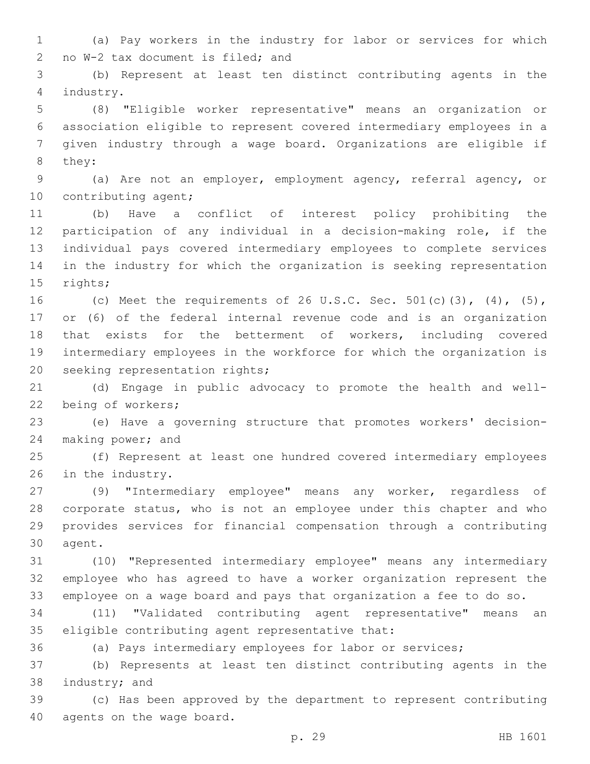(a) Pay workers in the industry for labor or services for which 2 no W-2 tax document is filed; and

 (b) Represent at least ten distinct contributing agents in the 4 industry.

 (8) "Eligible worker representative" means an organization or association eligible to represent covered intermediary employees in a given industry through a wage board. Organizations are eligible if 8 they:

 (a) Are not an employer, employment agency, referral agency, or 10 contributing agent;

 (b) Have a conflict of interest policy prohibiting the participation of any individual in a decision-making role, if the individual pays covered intermediary employees to complete services in the industry for which the organization is seeking representation 15 rights;

 (c) Meet the requirements of 26 U.S.C. Sec. 501(c)(3), (4), (5), or (6) of the federal internal revenue code and is an organization that exists for the betterment of workers, including covered intermediary employees in the workforce for which the organization is 20 seeking representation rights;

 (d) Engage in public advocacy to promote the health and well-22 being of workers;

 (e) Have a governing structure that promotes workers' decision-24 making power; and

 (f) Represent at least one hundred covered intermediary employees 26 in the industry.

 (9) "Intermediary employee" means any worker, regardless of corporate status, who is not an employee under this chapter and who provides services for financial compensation through a contributing 30 agent.

 (10) "Represented intermediary employee" means any intermediary employee who has agreed to have a worker organization represent the employee on a wage board and pays that organization a fee to do so.

 (11) "Validated contributing agent representative" means an 35 eligible contributing agent representative that:

(a) Pays intermediary employees for labor or services;

 (b) Represents at least ten distinct contributing agents in the 38 industry; and

 (c) Has been approved by the department to represent contributing 40 agents on the wage board.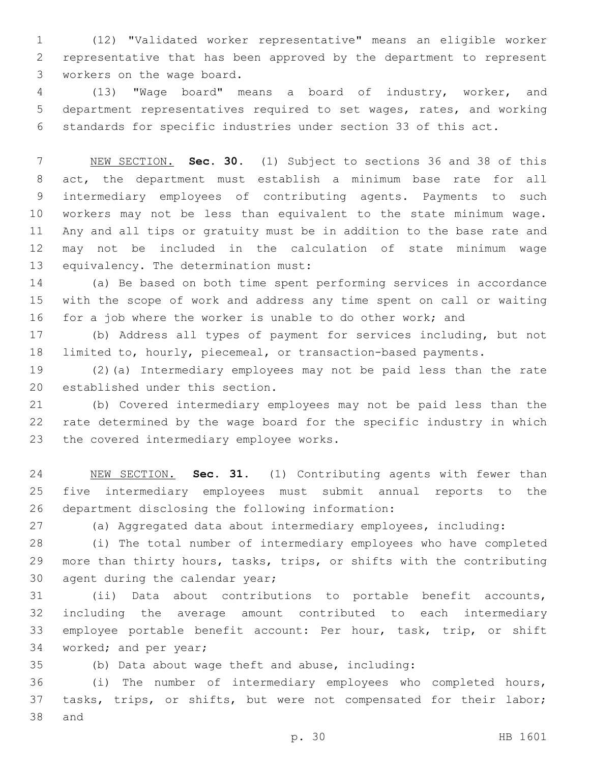(12) "Validated worker representative" means an eligible worker representative that has been approved by the department to represent 3 workers on the wage board.

 (13) "Wage board" means a board of industry, worker, and department representatives required to set wages, rates, and working standards for specific industries under section 33 of this act.

 NEW SECTION. **Sec. 30.** (1) Subject to sections 36 and 38 of this act, the department must establish a minimum base rate for all intermediary employees of contributing agents. Payments to such workers may not be less than equivalent to the state minimum wage. Any and all tips or gratuity must be in addition to the base rate and may not be included in the calculation of state minimum wage equivalency. The determination must:

 (a) Be based on both time spent performing services in accordance with the scope of work and address any time spent on call or waiting for a job where the worker is unable to do other work; and

 (b) Address all types of payment for services including, but not limited to, hourly, piecemeal, or transaction-based payments.

 (2)(a) Intermediary employees may not be paid less than the rate 20 established under this section.

 (b) Covered intermediary employees may not be paid less than the rate determined by the wage board for the specific industry in which 23 the covered intermediary employee works.

 NEW SECTION. **Sec. 31.** (1) Contributing agents with fewer than five intermediary employees must submit annual reports to the department disclosing the following information:

(a) Aggregated data about intermediary employees, including:

 (i) The total number of intermediary employees who have completed more than thirty hours, tasks, trips, or shifts with the contributing 30 agent during the calendar year;

 (ii) Data about contributions to portable benefit accounts, including the average amount contributed to each intermediary employee portable benefit account: Per hour, task, trip, or shift 34 worked; and per year;

(b) Data about wage theft and abuse, including:

 (i) The number of intermediary employees who completed hours, tasks, trips, or shifts, but were not compensated for their labor; 38 and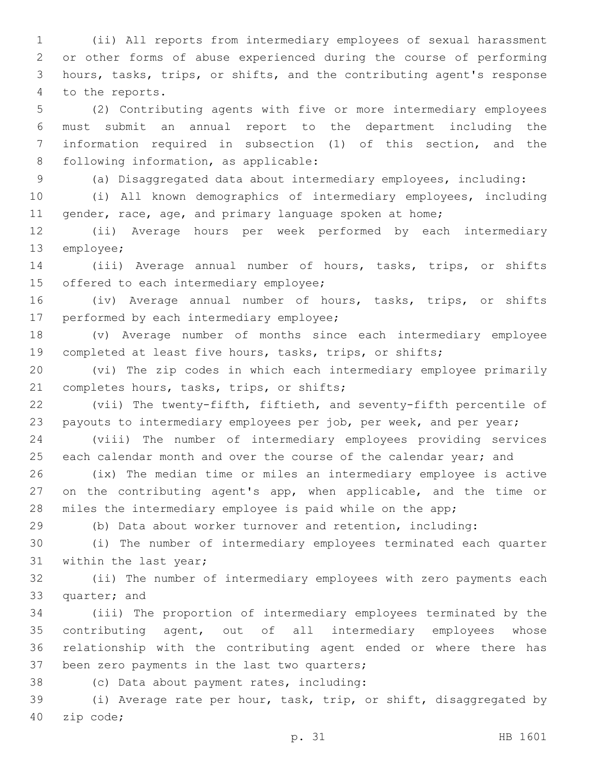(ii) All reports from intermediary employees of sexual harassment or other forms of abuse experienced during the course of performing hours, tasks, trips, or shifts, and the contributing agent's response 4 to the reports.

 (2) Contributing agents with five or more intermediary employees must submit an annual report to the department including the information required in subsection (1) of this section, and the 8 following information, as applicable:

(a) Disaggregated data about intermediary employees, including:

 (i) All known demographics of intermediary employees, including 11 gender, race, age, and primary language spoken at home;

 (ii) Average hours per week performed by each intermediary 13 employee;

 (iii) Average annual number of hours, tasks, trips, or shifts 15 offered to each intermediary employee;

 (iv) Average annual number of hours, tasks, trips, or shifts 17 performed by each intermediary employee;

 (v) Average number of months since each intermediary employee completed at least five hours, tasks, trips, or shifts;

 (vi) The zip codes in which each intermediary employee primarily 21 completes hours, tasks, trips, or shifts;

 (vii) The twenty-fifth, fiftieth, and seventy-fifth percentile of 23 payouts to intermediary employees per job, per week, and per year;

 (viii) The number of intermediary employees providing services 25 each calendar month and over the course of the calendar year; and

 (ix) The median time or miles an intermediary employee is active on the contributing agent's app, when applicable, and the time or miles the intermediary employee is paid while on the app;

(b) Data about worker turnover and retention, including:

 (i) The number of intermediary employees terminated each quarter 31 within the last year;

 (ii) The number of intermediary employees with zero payments each 33 quarter; and

 (iii) The proportion of intermediary employees terminated by the contributing agent, out of all intermediary employees whose relationship with the contributing agent ended or where there has 37 been zero payments in the last two quarters;

(c) Data about payment rates, including:38

 (i) Average rate per hour, task, trip, or shift, disaggregated by 40 zip code;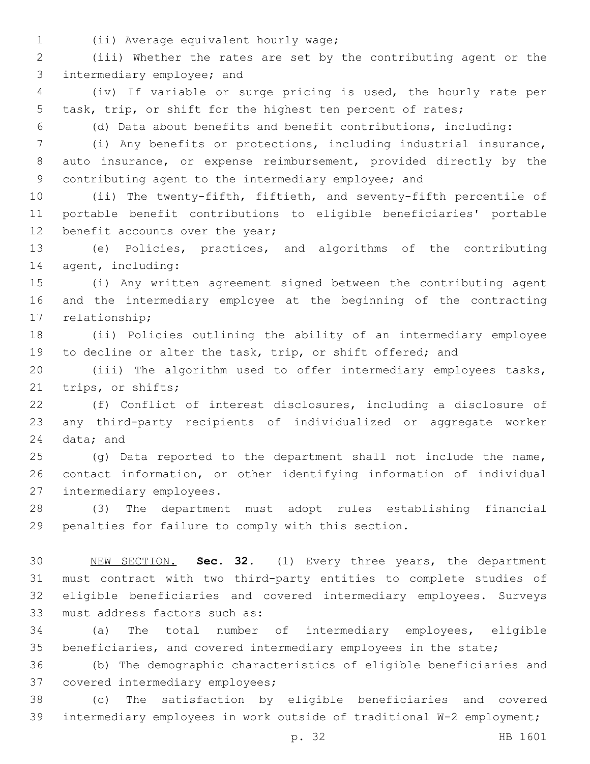(ii) Average equivalent hourly wage;1

 (iii) Whether the rates are set by the contributing agent or the 3 intermediary employee; and

 (iv) If variable or surge pricing is used, the hourly rate per task, trip, or shift for the highest ten percent of rates;

(d) Data about benefits and benefit contributions, including:

 (i) Any benefits or protections, including industrial insurance, auto insurance, or expense reimbursement, provided directly by the contributing agent to the intermediary employee; and

 (ii) The twenty-fifth, fiftieth, and seventy-fifth percentile of portable benefit contributions to eligible beneficiaries' portable 12 benefit accounts over the year;

 (e) Policies, practices, and algorithms of the contributing 14 agent, including:

 (i) Any written agreement signed between the contributing agent and the intermediary employee at the beginning of the contracting 17 relationship;

 (ii) Policies outlining the ability of an intermediary employee 19 to decline or alter the task, trip, or shift offered; and

 (iii) The algorithm used to offer intermediary employees tasks, 21 trips, or shifts;

 (f) Conflict of interest disclosures, including a disclosure of any third-party recipients of individualized or aggregate worker 24 data; and

 (g) Data reported to the department shall not include the name, contact information, or other identifying information of individual 27 intermediary employees.

 (3) The department must adopt rules establishing financial penalties for failure to comply with this section.

 NEW SECTION. **Sec. 32.** (1) Every three years, the department must contract with two third-party entities to complete studies of eligible beneficiaries and covered intermediary employees. Surveys must address factors such as:

 (a) The total number of intermediary employees, eligible beneficiaries, and covered intermediary employees in the state;

 (b) The demographic characteristics of eligible beneficiaries and 37 covered intermediary employees;

 (c) The satisfaction by eligible beneficiaries and covered intermediary employees in work outside of traditional W-2 employment;

p. 32 HB 1601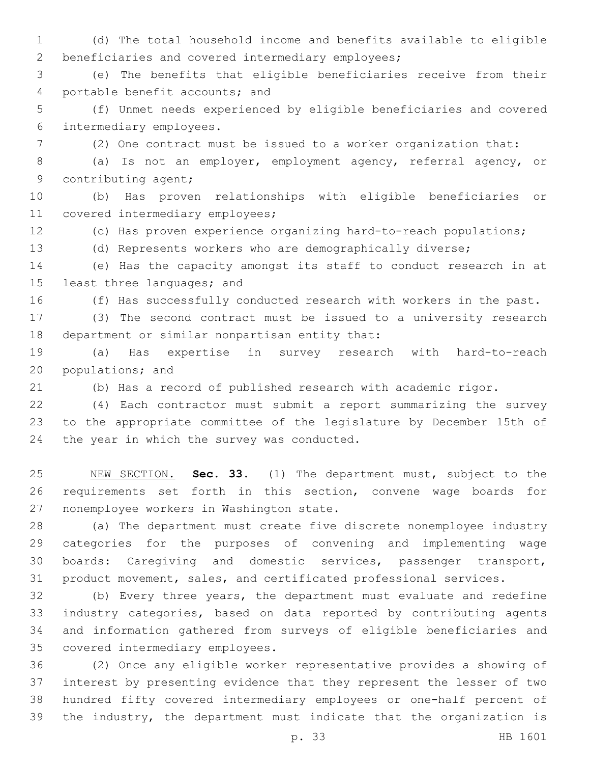(d) The total household income and benefits available to eligible 2 beneficiaries and covered intermediary employees;

 (e) The benefits that eligible beneficiaries receive from their 4 portable benefit accounts; and

 (f) Unmet needs experienced by eligible beneficiaries and covered 6 intermediary employees.

(2) One contract must be issued to a worker organization that:

 (a) Is not an employer, employment agency, referral agency, or 9 contributing agent;

 (b) Has proven relationships with eligible beneficiaries or 11 covered intermediary employees;

(c) Has proven experience organizing hard-to-reach populations;

(d) Represents workers who are demographically diverse;

 (e) Has the capacity amongst its staff to conduct research in at 15 least three languages; and

(f) Has successfully conducted research with workers in the past.

 (3) The second contract must be issued to a university research 18 department or similar nonpartisan entity that:

 (a) Has expertise in survey research with hard-to-reach 20 populations; and

(b) Has a record of published research with academic rigor.

 (4) Each contractor must submit a report summarizing the survey to the appropriate committee of the legislature by December 15th of 24 the year in which the survey was conducted.

 NEW SECTION. **Sec. 33.** (1) The department must, subject to the requirements set forth in this section, convene wage boards for nonemployee workers in Washington state.

 (a) The department must create five discrete nonemployee industry categories for the purposes of convening and implementing wage boards: Caregiving and domestic services, passenger transport, product movement, sales, and certificated professional services.

 (b) Every three years, the department must evaluate and redefine industry categories, based on data reported by contributing agents and information gathered from surveys of eligible beneficiaries and 35 covered intermediary employees.

 (2) Once any eligible worker representative provides a showing of interest by presenting evidence that they represent the lesser of two hundred fifty covered intermediary employees or one-half percent of the industry, the department must indicate that the organization is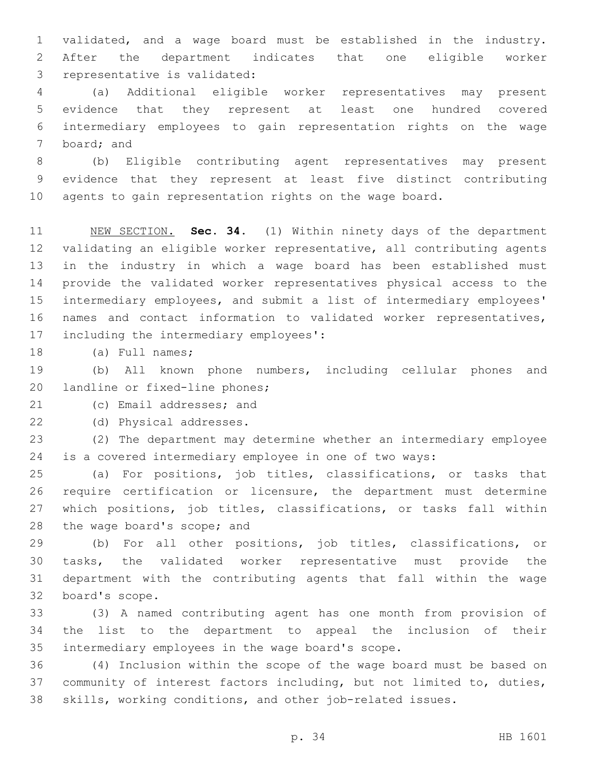validated, and a wage board must be established in the industry. After the department indicates that one eligible worker 3 representative is validated:

 (a) Additional eligible worker representatives may present evidence that they represent at least one hundred covered intermediary employees to gain representation rights on the wage 7 board; and

 (b) Eligible contributing agent representatives may present evidence that they represent at least five distinct contributing agents to gain representation rights on the wage board.

 NEW SECTION. **Sec. 34.** (1) Within ninety days of the department validating an eligible worker representative, all contributing agents in the industry in which a wage board has been established must provide the validated worker representatives physical access to the intermediary employees, and submit a list of intermediary employees' names and contact information to validated worker representatives, including the intermediary employees':

18 (a) Full names;

 (b) All known phone numbers, including cellular phones and 20 landline or fixed-line phones;

21 (c) Email addresses; and

22 (d) Physical addresses.

 (2) The department may determine whether an intermediary employee is a covered intermediary employee in one of two ways:

 (a) For positions, job titles, classifications, or tasks that require certification or licensure, the department must determine which positions, job titles, classifications, or tasks fall within 28 the wage board's scope; and

 (b) For all other positions, job titles, classifications, or tasks, the validated worker representative must provide the department with the contributing agents that fall within the wage 32 board's scope.

 (3) A named contributing agent has one month from provision of the list to the department to appeal the inclusion of their 35 intermediary employees in the wage board's scope.

 (4) Inclusion within the scope of the wage board must be based on community of interest factors including, but not limited to, duties, skills, working conditions, and other job-related issues.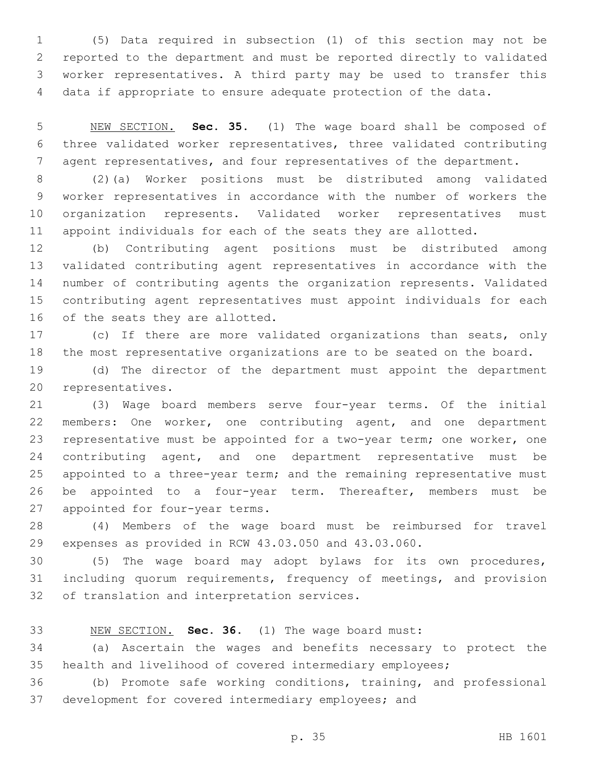(5) Data required in subsection (1) of this section may not be reported to the department and must be reported directly to validated worker representatives. A third party may be used to transfer this data if appropriate to ensure adequate protection of the data.

 NEW SECTION. **Sec. 35.** (1) The wage board shall be composed of three validated worker representatives, three validated contributing agent representatives, and four representatives of the department.

 (2)(a) Worker positions must be distributed among validated worker representatives in accordance with the number of workers the organization represents. Validated worker representatives must appoint individuals for each of the seats they are allotted.

 (b) Contributing agent positions must be distributed among validated contributing agent representatives in accordance with the number of contributing agents the organization represents. Validated contributing agent representatives must appoint individuals for each 16 of the seats they are allotted.

 (c) If there are more validated organizations than seats, only the most representative organizations are to be seated on the board.

 (d) The director of the department must appoint the department 20 representatives.

 (3) Wage board members serve four-year terms. Of the initial members: One worker, one contributing agent, and one department representative must be appointed for a two-year term; one worker, one 24 contributing agent, and one department representative must be 25 appointed to a three-year term; and the remaining representative must be appointed to a four-year term. Thereafter, members must be 27 appointed for four-year terms.

 (4) Members of the wage board must be reimbursed for travel expenses as provided in RCW 43.03.050 and 43.03.060.

 (5) The wage board may adopt bylaws for its own procedures, including quorum requirements, frequency of meetings, and provision 32 of translation and interpretation services.

NEW SECTION. **Sec. 36.** (1) The wage board must:

 (a) Ascertain the wages and benefits necessary to protect the health and livelihood of covered intermediary employees;

 (b) Promote safe working conditions, training, and professional development for covered intermediary employees; and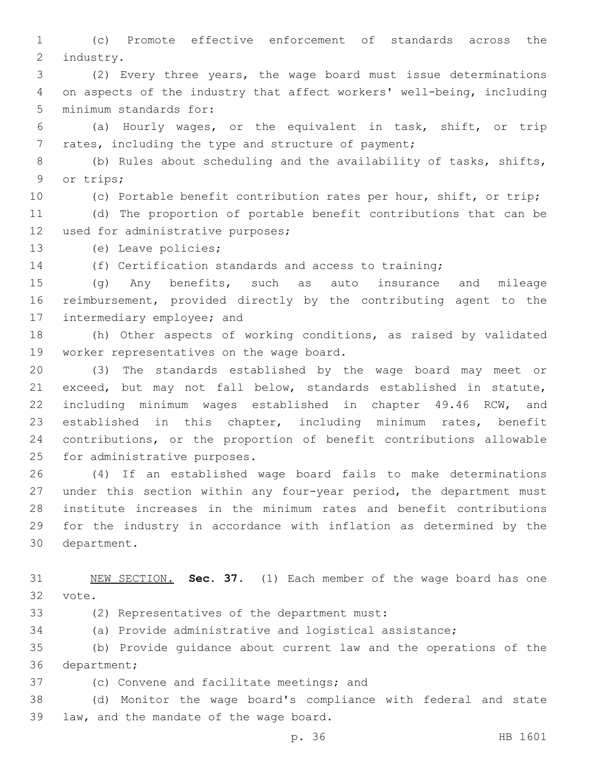(c) Promote effective enforcement of standards across the 2 industry.

 (2) Every three years, the wage board must issue determinations on aspects of the industry that affect workers' well-being, including 5 minimum standards for:

 (a) Hourly wages, or the equivalent in task, shift, or trip 7 rates, including the type and structure of payment;

 (b) Rules about scheduling and the availability of tasks, shifts, 9 or trips;

(c) Portable benefit contribution rates per hour, shift, or trip;

 (d) The proportion of portable benefit contributions that can be 12 used for administrative purposes;

13 (e) Leave policies;

(f) Certification standards and access to training;

 (g) Any benefits, such as auto insurance and mileage reimbursement, provided directly by the contributing agent to the 17 intermediary employee; and

 (h) Other aspects of working conditions, as raised by validated 19 worker representatives on the wage board.

 (3) The standards established by the wage board may meet or exceed, but may not fall below, standards established in statute, including minimum wages established in chapter 49.46 RCW, and established in this chapter, including minimum rates, benefit contributions, or the proportion of benefit contributions allowable 25 for administrative purposes.

 (4) If an established wage board fails to make determinations under this section within any four-year period, the department must institute increases in the minimum rates and benefit contributions for the industry in accordance with inflation as determined by the 30 department.

 NEW SECTION. **Sec. 37.** (1) Each member of the wage board has one vote.

33 (2) Representatives of the department must:

(a) Provide administrative and logistical assistance;

 (b) Provide guidance about current law and the operations of the 36 department;

37 (c) Convene and facilitate meetings; and

 (d) Monitor the wage board's compliance with federal and state 39 law, and the mandate of the wage board.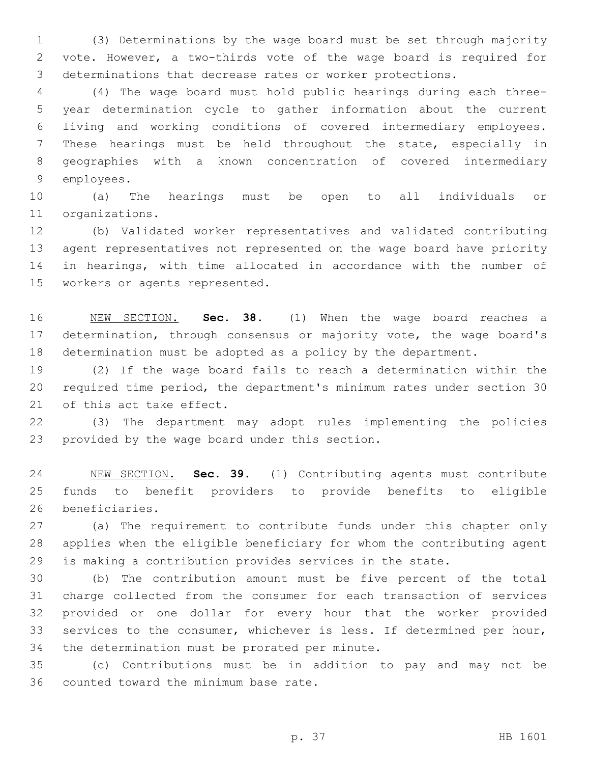(3) Determinations by the wage board must be set through majority vote. However, a two-thirds vote of the wage board is required for determinations that decrease rates or worker protections.

 (4) The wage board must hold public hearings during each three- year determination cycle to gather information about the current living and working conditions of covered intermediary employees. These hearings must be held throughout the state, especially in geographies with a known concentration of covered intermediary 9 employees.

 (a) The hearings must be open to all individuals or 11 organizations.

 (b) Validated worker representatives and validated contributing agent representatives not represented on the wage board have priority in hearings, with time allocated in accordance with the number of 15 workers or agents represented.

 NEW SECTION. **Sec. 38.** (1) When the wage board reaches a determination, through consensus or majority vote, the wage board's determination must be adopted as a policy by the department.

 (2) If the wage board fails to reach a determination within the required time period, the department's minimum rates under section 30 21 of this act take effect.

 (3) The department may adopt rules implementing the policies 23 provided by the wage board under this section.

 NEW SECTION. **Sec. 39.** (1) Contributing agents must contribute funds to benefit providers to provide benefits to eligible beneficiaries.

 (a) The requirement to contribute funds under this chapter only applies when the eligible beneficiary for whom the contributing agent is making a contribution provides services in the state.

 (b) The contribution amount must be five percent of the total charge collected from the consumer for each transaction of services provided or one dollar for every hour that the worker provided services to the consumer, whichever is less. If determined per hour, 34 the determination must be prorated per minute.

 (c) Contributions must be in addition to pay and may not be 36 counted toward the minimum base rate.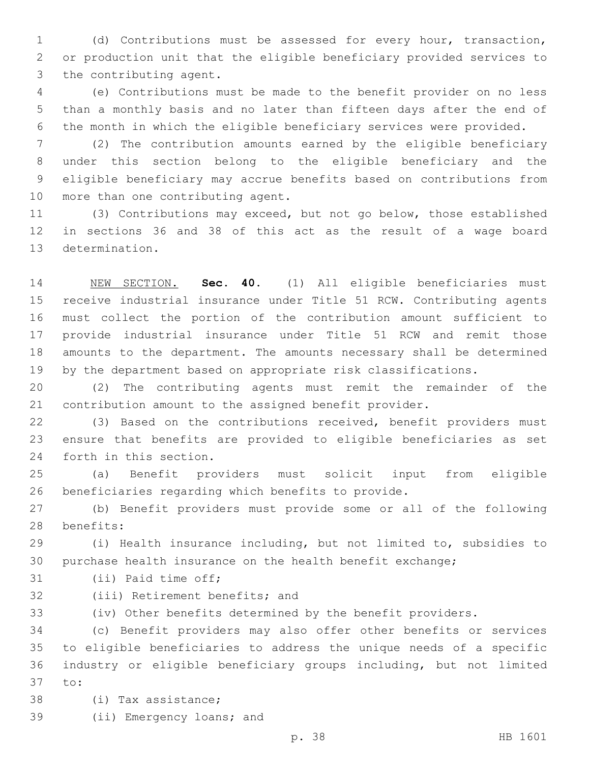(d) Contributions must be assessed for every hour, transaction, or production unit that the eligible beneficiary provided services to 3 the contributing agent.

 (e) Contributions must be made to the benefit provider on no less than a monthly basis and no later than fifteen days after the end of the month in which the eligible beneficiary services were provided.

 (2) The contribution amounts earned by the eligible beneficiary under this section belong to the eligible beneficiary and the eligible beneficiary may accrue benefits based on contributions from 10 more than one contributing agent.

 (3) Contributions may exceed, but not go below, those established in sections 36 and 38 of this act as the result of a wage board 13 determination.

 NEW SECTION. **Sec. 40.** (1) All eligible beneficiaries must receive industrial insurance under Title 51 RCW. Contributing agents must collect the portion of the contribution amount sufficient to provide industrial insurance under Title 51 RCW and remit those amounts to the department. The amounts necessary shall be determined by the department based on appropriate risk classifications.

 (2) The contributing agents must remit the remainder of the contribution amount to the assigned benefit provider.

 (3) Based on the contributions received, benefit providers must ensure that benefits are provided to eligible beneficiaries as set 24 forth in this section.

 (a) Benefit providers must solicit input from eligible beneficiaries regarding which benefits to provide.

 (b) Benefit providers must provide some or all of the following 28 benefits:

 (i) Health insurance including, but not limited to, subsidies to purchase health insurance on the health benefit exchange;

31 (ii) Paid time off;

32 (iii) Retirement benefits; and

(iv) Other benefits determined by the benefit providers.

 (c) Benefit providers may also offer other benefits or services to eligible beneficiaries to address the unique needs of a specific industry or eligible beneficiary groups including, but not limited 37 to:

- 38 (i) Tax assistance;
- 39 (ii) Emergency loans; and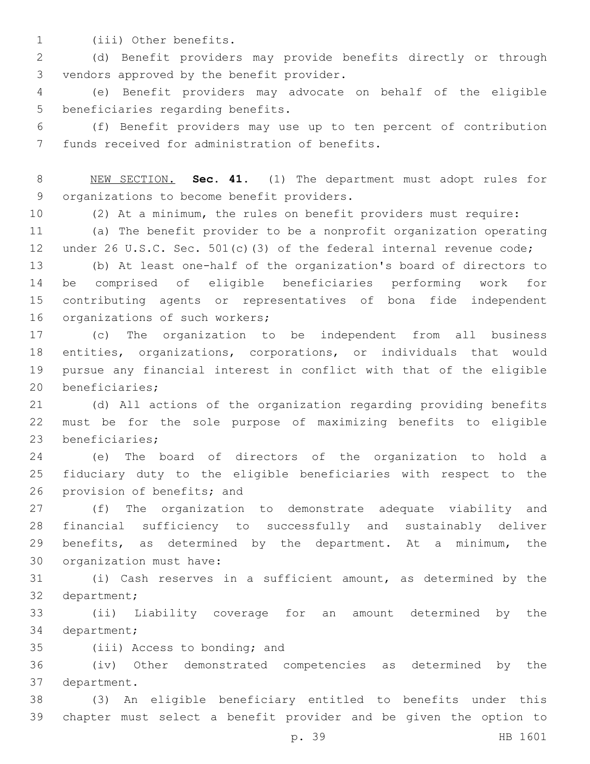1 (iii) Other benefits.

 (d) Benefit providers may provide benefits directly or through 3 vendors approved by the benefit provider.

 (e) Benefit providers may advocate on behalf of the eligible 5 beneficiaries regarding benefits.

 (f) Benefit providers may use up to ten percent of contribution 7 funds received for administration of benefits.

 NEW SECTION. **Sec. 41.** (1) The department must adopt rules for organizations to become benefit providers.

(2) At a minimum, the rules on benefit providers must require:

 (a) The benefit provider to be a nonprofit organization operating 12 under 26 U.S.C. Sec. 501(c)(3) of the federal internal revenue code;

 (b) At least one-half of the organization's board of directors to be comprised of eligible beneficiaries performing work for contributing agents or representatives of bona fide independent 16 organizations of such workers;

 (c) The organization to be independent from all business entities, organizations, corporations, or individuals that would pursue any financial interest in conflict with that of the eligible 20 beneficiaries;

 (d) All actions of the organization regarding providing benefits must be for the sole purpose of maximizing benefits to eligible 23 beneficiaries;

 (e) The board of directors of the organization to hold a fiduciary duty to the eligible beneficiaries with respect to the 26 provision of benefits; and

 (f) The organization to demonstrate adequate viability and financial sufficiency to successfully and sustainably deliver benefits, as determined by the department. At a minimum, the 30 organization must have:

 (i) Cash reserves in a sufficient amount, as determined by the 32 department;

 (ii) Liability coverage for an amount determined by the 34 department;

35 (iii) Access to bonding; and

 (iv) Other demonstrated competencies as determined by the 37 department.

 (3) An eligible beneficiary entitled to benefits under this chapter must select a benefit provider and be given the option to

p. 39 HB 1601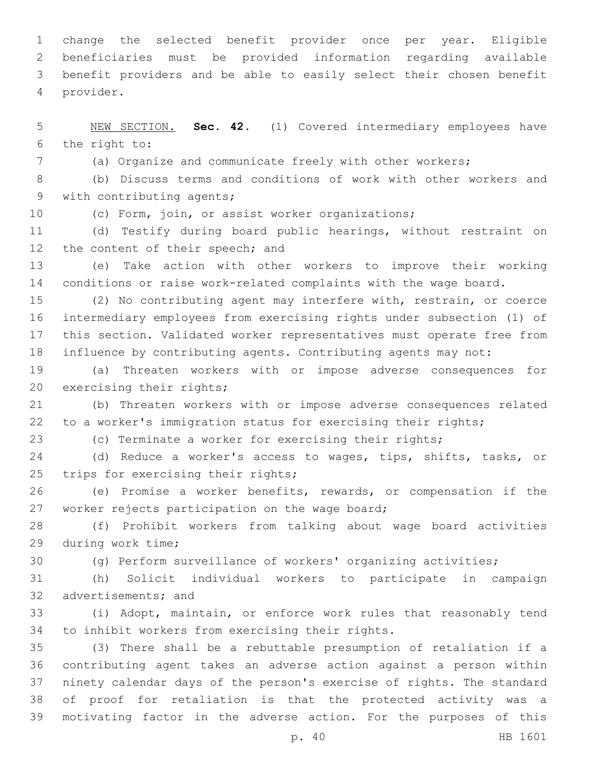change the selected benefit provider once per year. Eligible beneficiaries must be provided information regarding available benefit providers and be able to easily select their chosen benefit provider.4

 NEW SECTION. **Sec. 42.** (1) Covered intermediary employees have the right to:

(a) Organize and communicate freely with other workers;

 (b) Discuss terms and conditions of work with other workers and 9 with contributing agents;

(c) Form, join, or assist worker organizations;

 (d) Testify during board public hearings, without restraint on 12 the content of their speech; and

 (e) Take action with other workers to improve their working conditions or raise work-related complaints with the wage board.

 (2) No contributing agent may interfere with, restrain, or coerce intermediary employees from exercising rights under subsection (1) of this section. Validated worker representatives must operate free from influence by contributing agents. Contributing agents may not:

 (a) Threaten workers with or impose adverse consequences for 20 exercising their rights;

 (b) Threaten workers with or impose adverse consequences related to a worker's immigration status for exercising their rights;

(c) Terminate a worker for exercising their rights;

 (d) Reduce a worker's access to wages, tips, shifts, tasks, or 25 trips for exercising their rights;

 (e) Promise a worker benefits, rewards, or compensation if the 27 worker rejects participation on the wage board;

 (f) Prohibit workers from talking about wage board activities 29 during work time;

(g) Perform surveillance of workers' organizing activities;

 (h) Solicit individual workers to participate in campaign 32 advertisements; and

 (i) Adopt, maintain, or enforce work rules that reasonably tend 34 to inhibit workers from exercising their rights.

 (3) There shall be a rebuttable presumption of retaliation if a contributing agent takes an adverse action against a person within ninety calendar days of the person's exercise of rights. The standard of proof for retaliation is that the protected activity was a motivating factor in the adverse action. For the purposes of this

p. 40 HB 1601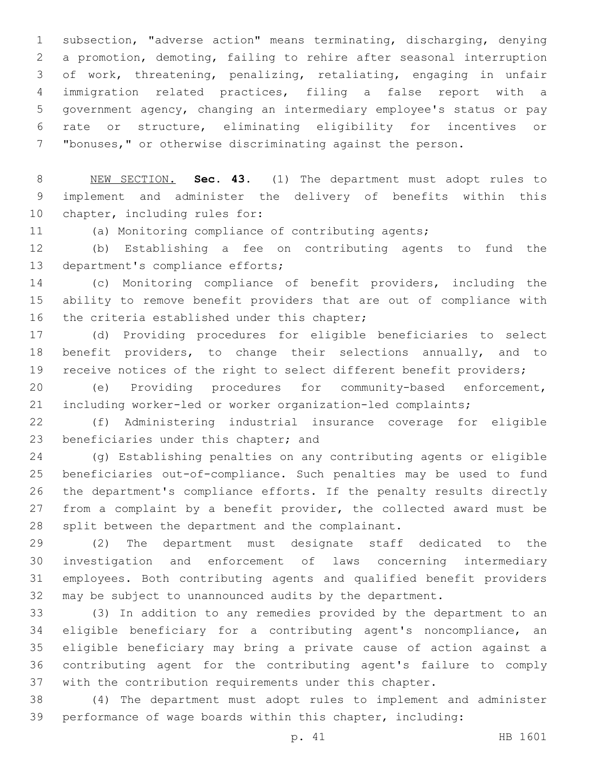subsection, "adverse action" means terminating, discharging, denying a promotion, demoting, failing to rehire after seasonal interruption of work, threatening, penalizing, retaliating, engaging in unfair immigration related practices, filing a false report with a government agency, changing an intermediary employee's status or pay rate or structure, eliminating eligibility for incentives or "bonuses," or otherwise discriminating against the person.

 NEW SECTION. **Sec. 43.** (1) The department must adopt rules to implement and administer the delivery of benefits within this chapter, including rules for:

(a) Monitoring compliance of contributing agents;

 (b) Establishing a fee on contributing agents to fund the 13 department's compliance efforts;

 (c) Monitoring compliance of benefit providers, including the ability to remove benefit providers that are out of compliance with 16 the criteria established under this chapter;

 (d) Providing procedures for eligible beneficiaries to select benefit providers, to change their selections annually, and to 19 receive notices of the right to select different benefit providers;

 (e) Providing procedures for community-based enforcement, including worker-led or worker organization-led complaints;

 (f) Administering industrial insurance coverage for eligible 23 beneficiaries under this chapter; and

 (g) Establishing penalties on any contributing agents or eligible beneficiaries out-of-compliance. Such penalties may be used to fund the department's compliance efforts. If the penalty results directly 27 from a complaint by a benefit provider, the collected award must be 28 split between the department and the complainant.

 (2) The department must designate staff dedicated to the investigation and enforcement of laws concerning intermediary employees. Both contributing agents and qualified benefit providers may be subject to unannounced audits by the department.

 (3) In addition to any remedies provided by the department to an eligible beneficiary for a contributing agent's noncompliance, an eligible beneficiary may bring a private cause of action against a contributing agent for the contributing agent's failure to comply with the contribution requirements under this chapter.

 (4) The department must adopt rules to implement and administer performance of wage boards within this chapter, including: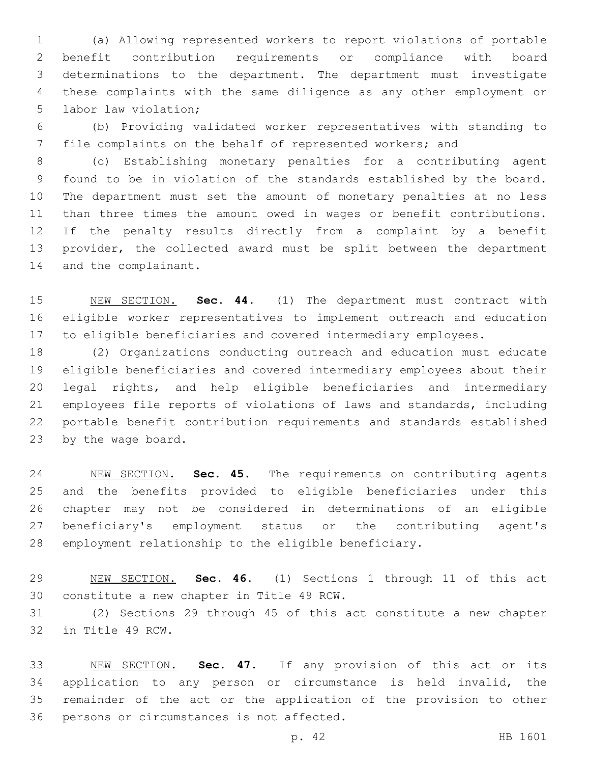(a) Allowing represented workers to report violations of portable benefit contribution requirements or compliance with board determinations to the department. The department must investigate these complaints with the same diligence as any other employment or 5 labor law violation;

 (b) Providing validated worker representatives with standing to file complaints on the behalf of represented workers; and

 (c) Establishing monetary penalties for a contributing agent found to be in violation of the standards established by the board. The department must set the amount of monetary penalties at no less than three times the amount owed in wages or benefit contributions. If the penalty results directly from a complaint by a benefit provider, the collected award must be split between the department 14 and the complainant.

 NEW SECTION. **Sec. 44.** (1) The department must contract with eligible worker representatives to implement outreach and education to eligible beneficiaries and covered intermediary employees.

 (2) Organizations conducting outreach and education must educate eligible beneficiaries and covered intermediary employees about their legal rights, and help eligible beneficiaries and intermediary employees file reports of violations of laws and standards, including portable benefit contribution requirements and standards established 23 by the wage board.

 NEW SECTION. **Sec. 45.** The requirements on contributing agents and the benefits provided to eligible beneficiaries under this chapter may not be considered in determinations of an eligible beneficiary's employment status or the contributing agent's employment relationship to the eligible beneficiary.

 NEW SECTION. **Sec. 46.** (1) Sections 1 through 11 of this act constitute a new chapter in Title 49 RCW.

 (2) Sections 29 through 45 of this act constitute a new chapter 32 in Title 49 RCW.

 NEW SECTION. **Sec. 47.** If any provision of this act or its application to any person or circumstance is held invalid, the remainder of the act or the application of the provision to other persons or circumstances is not affected.